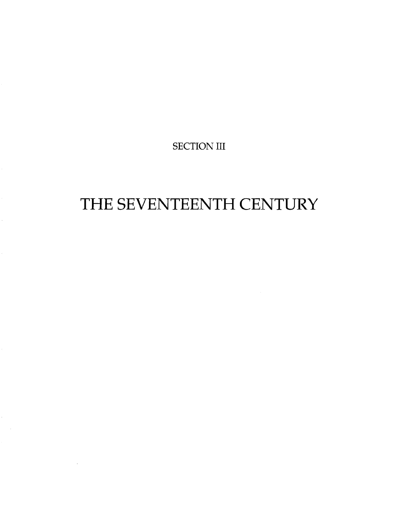SECTION III

## THE SEVENTEENTH CENTURY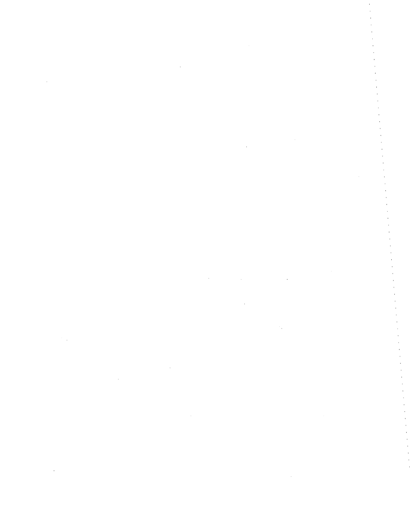$\label{eq:2.1} \frac{1}{\sqrt{2}}\left(\frac{1}{\sqrt{2}}\right)^{2} \left(\frac{1}{\sqrt{2}}\right)^{2} \left(\frac{1}{\sqrt{2}}\right)^{2} \left(\frac{1}{\sqrt{2}}\right)^{2} \left(\frac{1}{\sqrt{2}}\right)^{2} \left(\frac{1}{\sqrt{2}}\right)^{2} \left(\frac{1}{\sqrt{2}}\right)^{2} \left(\frac{1}{\sqrt{2}}\right)^{2} \left(\frac{1}{\sqrt{2}}\right)^{2} \left(\frac{1}{\sqrt{2}}\right)^{2} \left(\frac{1}{\sqrt{2}}\right)^{2} \left(\$ 

 $\label{eq:2.1} \frac{1}{\sqrt{2}}\int_{\mathbb{R}^3}\frac{1}{\sqrt{2}}\left(\frac{1}{\sqrt{2}}\right)^2\frac{1}{\sqrt{2}}\left(\frac{1}{\sqrt{2}}\right)^2\frac{1}{\sqrt{2}}\left(\frac{1}{\sqrt{2}}\right)^2\frac{1}{\sqrt{2}}\left(\frac{1}{\sqrt{2}}\right)^2.$ 

 $\label{eq:2.1} \frac{1}{2} \sum_{i=1}^n \frac{1}{2} \sum_{j=1}^n \frac{1}{2} \sum_{j=1}^n \frac{1}{2} \sum_{j=1}^n \frac{1}{2} \sum_{j=1}^n \frac{1}{2} \sum_{j=1}^n \frac{1}{2} \sum_{j=1}^n \frac{1}{2} \sum_{j=1}^n \frac{1}{2} \sum_{j=1}^n \frac{1}{2} \sum_{j=1}^n \frac{1}{2} \sum_{j=1}^n \frac{1}{2} \sum_{j=1}^n \frac{1}{2} \sum_{j=1}^n \frac{$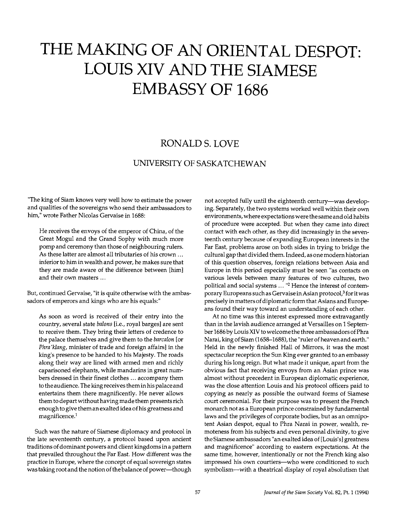# **THE MAKING OF AN ORIENTAL DESPOT: LOUIS XIV AND THE SIAMESE EMBASSY OF 1686**

### **RONALD S. LOVE**

### UNIVERSITY OF SASKATCHEWAN

"The king of Siam knows very well how to estimate the power and qualities of the sovereigns who send their ambassadors to him," wrote Father Nicolas Gervaise in 1688:

He receives the envoys of the emperor of China, of the Great Mogul and the Grand Sophy with much more pomp and ceremony than those of neighbouring rulers. As these latter are almost all tributaries of his crown ... inferior to him in wealth and power, he makes sure that they are made aware of the difference between [him] and their own masters ...

But, continued Gervaise, "it is quite otherwise with the ambassadors of emperors and kings who are his equals:"

As soon as word is received of their entry into the country, several state *balons* [i.e., royal barges] are sent to receive them. They bring their letters of credence to the palace themselves and give them to the *barcalon* [or *Phra 'klang,* minister of trade and foreign affairs] in the king's presence to be handed to his Majesty. The roads along their way are lined with armed men and richly caparisoned elephants, while mandarins in great numbers dressed in their finest clothes ... accompany them to the audience. The king receives them in his palace and entertains them there magnificently. He never allows them to depart without having made them presents rich enough to give them an exalted idea of his greatness and magnificence.<sup>1</sup>

Such was the nature of Siamese diplomacy and protocol in the late seventeenth century, a protocol based upon ancient traditions of dominant powers and client kingdoms in a pattern that prevailed throughout the Far East. How different was the practice in Europe, where the concept of equal sovereign states was taking root and the notion of the balance of power-though

not accepted fully until the eighteenth century-was developing. Separately, the two systems worked well within their own environments, where expectations were the same and old habits of procedure were accepted. But when they came into direct contact with each other, as they did increasingly in the seventeenth century because of expanding European interests in the Far East, problems arose on both sides in trying to bridge the cultural gap that divided them. Indeed, as one modern historian of this question observes, foreign relations between Asia and Europe in this period especially must be seen "as contacts on various levels between many features of two cultures, two political and social systems ... "2 Hence the interest of contemporary Europeans such as Gervaise in Asian protocol,<sup>3</sup> for it was precisely in matters of diplomatic form that Asians and Europeans found their way toward an understanding of each other.

At no time was this interest expressed more extravagantly than in the lavish audience arranged at Versailles on 1 September 1686 by Louis XIV to welcome the three ambassadors of Phra Narai, king of Siam (1658-1688), the "ruler of heaven and earth." Held in the newly finished Hall of Mirrors, it was the most spectacular reception the Sun King ever granted to an embassy during his long reign. But what made it unique, apart from the obvious fact that receiving envoys from an Asian prince was almost without precedent in European diplomatic experience, was the close attention Louis and his protocol officers paid to copying as nearly as possible the outward forms of Siamese court ceremonial. For their purpose was to present the French monarch not as a European prince constrained by fundamental laws and the privileges of corporate bodies, but as an omnipotent Asian despot, equal to Phra Narai in power, wealth, remoteness from his subjects and even personal divinity, to give the Siamese ambassadors "an exalted idea of [Louis's] greatness and magnificence" according to eastern expectations. At the same time, however, intentionally or not the French king also impressed his own courtiers-who were conditioned to such symbolism-with a theatrical display of royal absolutism that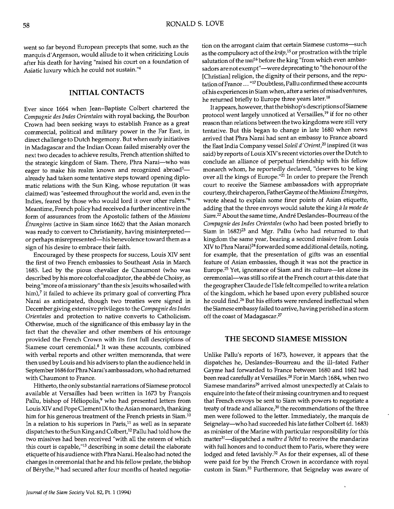went so far beyond European precepts that some, such as the marquis d'Argenson, would allude to it when criticizing Louis after his death for having "raised his court on a foundation of Asiatic luxury which he could not sustain."4

#### **INITIAL CONTACTS**

Ever since 1664 when Jean-Baptiste Colbert chartered the *Compagnie des Indes Orientales* with royal backing, the Bourbon Crown had been seeking ways to establish France as a great commercial, political and military power in the Far East, in direct challenge to Dutch hegemony. But when early initiatives in Madagascar and the Indian Ocean failed miserably over the next two decades to achieve results, French attention shifted to the strategic kingdom of Siam. There, Phra Narai-who was eager to make his realm known and recognized abroad<sup>5</sup>already had taken some tentative steps toward opening diplomatic relations with the Sun King, whose reputation (it was claimed) was "esteemed throughout the world and, even in the Indies, feared by those who would lord it over other rulers. "6 Meantime, French policy had received a further incentive in the form of assurances from the Apostolic fathers of the *Missions Etrangeres* (active in Siam since 1662) that the Asian monarch was ready to convert to Christianity, having misinterpretedor perhaps misrepresented-his benevolence toward them as a sign of his desire to embrace their faith.

Encouraged by these prospects for success, Louis *XN* sent the first of two French embassies to Southeast Asia in March 1685. Led by the pious chevalier de Chaumont (who was described by his more colorful coadjutor, the abbé de Choisy, as being "more of a missionary" than the six Jesuits who sailed with him),<sup>7</sup> it failed to achieve its primary goal of converting Phra Narai as anticipated, though two treaties were signed in December giving extensive privileges to the *Compagnie des Indes Orientales* and protection to native converts to Catholicism. Otherwise, much of the significance of this embassy lay in the fact that the chevalier and other members of his entourage provided the French Crown with its first full descriptions of Siamese court ceremonial. $8$  It was these accounts, combined with verbal reports and other written memoranda, that were then used by Louis and his advisers to plan the audience held in September 1686 for Phra Narai's ambassadors, who had returned with Chaumont to France.

Hitherto, the only substantial narrations of Siamese protocol available at Versailles had been written in 1673 by François Pallu, bishop of Héliopolis,<sup>9</sup> who had presented letters from Louis XIV and Pope Clement IX to the Asian monarch, thanking him for his generous treatment of the French priests in Siam.<sup>10</sup> In a relation to his superiors in Paris, $11$  as well as in separate dispatches to the Sun King and Colbert,<sup>12</sup> Pallu had told how the two missives had been received "with all the esteem of which this court is capable,"13 describing in some detail the elaborate etiquette of his audience with Phra Narai. He also had noted the changes in ceremonial that he and his fellow prelate, the bishop of Bérythe,<sup>14</sup> had secured after four months of heated negotiation on the arrogant claim that certain Siamese customs-such as the compulsory act of the krap,<sup>15</sup> or prostration with the triple salutation of the *wai*16 before the king "from which even ambassadors are not exempt"—were deprecating to "the honour of the [Christian] religion, the dignity of their persons, and the reputation of France ... "17 Doubtless, Pallu confirmed these accounts of his experiences in Siam when, after a series of misadventures, he returned briefly to Europe three years later.<sup>18</sup>

It appears, however, that the bishop's descriptions of Siamese protocol went largely unnoticed at Versailles,<sup>19</sup> if for no other reason than relations between the two kingdoms were still very tentative. But this began to change in late 1680 when news arrived that Phra Narai had sent an embassy to France aboard the East India Company vessel *Soleil d 'Orient* ,20 inspired (it was said) by reports of Louis XIV's recent victories over the Dutch to conclude an alliance of perpetual friendship with his fellow monarch whom, he reportedly declared, "deserves to be king over all the kings of Europe."<sup>21</sup> In order to prepare the French court to receive the Siamese ambassadors with appropriate courtesy, their chaperon, Father Gayme of the *Missions Etrangeres,*  wrote ahead to explain some finer points of Asian etiquette, adding that the three envoys would salute the king *à la mode de Siam.22* About the same time, Andre Deslandes-Bourreau of the *Compagnie des Indes Orientales* (who had been posted briefly to Siam in 1682)<sup>23</sup> and Mgr. Pallu (who had returned to that kingdom the same year, bearing a second missive from Louis XIV to Phra Narai)24 forwarded some additional details, noting, for example, that the presentation of gifts was an essential feature of Asian embassies, though it was not the practice in Europe.<sup>25</sup> Yet, ignorance of Siam and its culture—let alone its ceremonial-was still so rife at the French court at this date that the geographer Claude de l'Isle felt compelled to write a relation of the kingdom, which he based upon every published source he could find.26 But his efforts were rendered ineffectual when the Siamese embassy failed to arrive, having perished in a storm off the coast of Madagascar.<sup>27</sup>

#### **THE SECOND SIAMESE MISSION**

Unlike Pallu's reports of 1673, however, it appears that the dispatches he, Deslandes-Bourreau and the ill-fated Father Gayme had forwarded to France between 1680 and 1682 had been read carefully at Versailles. 28 For in March 1684, when two Siamese mandarins<sup>29</sup> arrived almost unexpectedly at Calais to enquire into the fate of their missing countrymen and to request that French envoys be sent to Siam with powers to negotiate a treaty of trade and alliance,<sup>30</sup> the recommendations of the three men were followed to the letter. Immediately, the marquis de Seignelay-who had succeeded his late father Colbert (d. 1683) as minister of the Marine with particular responsibility for this matter<sup>31</sup>—dispatched a *maître d'hôtel* to receive the mandarins with full honors and to conduct them to Paris, where they were lodged and feted lavishly.<sup>32</sup> As for their expenses, all of these were paid for by the French Crown in accordance with royal custom in Siam.<sup>33</sup> Furthermore, that Seignelay was aware of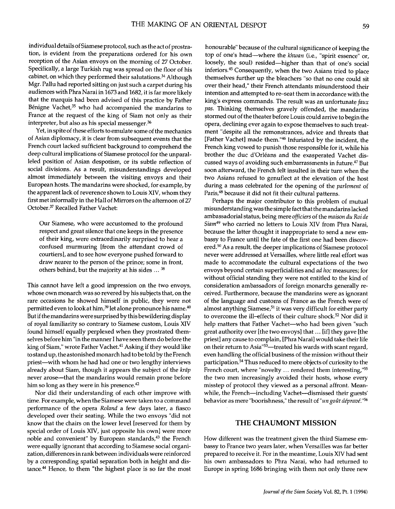individual details of Siamese protocol, such as the act of prostration, is evident from the preparations ordered for his own reception of the Asian envoys on the morning of 27 October. Specifically, a large Turkish rug was spread on the floor of his cabinet, on which they performed their salutations.<sup>34</sup> Although Mgr. Pallu had reported sitting on just such a carpet during his audiences with Phra Narai in 1673 and 1682, it is far more likely that the marquis had been advised of this practice by Father Bénigne Vachet,<sup>35</sup> who had accompanied the mandarins to France at the request of the king of Siam not only as their interpreter, but also as his special messenger.<sup>36</sup>

Yet, in spite of these efforts to emulate some of the mechanics of Asian diplomacy, it is clear from subsequent events that the French court lacked sufficient background to comprehend the deep cultural implications of Siamese protocol for the unparalleled position of Asian despotism, or its subtle reflection of social divisions. As a result, misunderstandings developed almost immediately between the visiting envoys and their European hosts. The mandarins were shocked, for example, by the apparent lack of reverence shown to Louis XIV, whom they first met informally in the Hall of Mirrors on the afternoon of 27 October.37 Recalled Father Vachet:

Our Siamese, who were accustomed to the profound respect and great silence that one keeps in the presence of their king, were extraordinarily surprised to hear a confused murmuring [from the attendant crowd of courtiers], and to see how everyone pushed forward to draw nearer to the person of the prince; some in front, others behind, but the majority at his sides ... 38

This cannot have left a good impression on the two envoys, whose own monarch was so revered by his subjects that, on the rare occasions he showed himself in public, they were not permitted even to look at him,<sup>39</sup> let alone pronounce his name.<sup>40</sup> But if the mandarins were surprised by this bewildering display of royal familiarity so contrary to Siamese custom, Louis XIV found himself equally perplexed when they prostrated themselves before him "in the manner I have seen them do before the king of Siam," wrote Father Vachet.<sup>41</sup> Asking if they would like to stand up, the astonished monarch had to be told by the French priest-with whom he had had one or two lengthy interviews already about Siam, though it appears the subject of the *krap* never arose--that the mandarins would remain prone before him so long as they were in his presence.<sup>42</sup>

Nor did their understanding of each other improve with time. For example, when the Siamese were taken to a command performance of the opera *Roland* a few days later, a fiasco developed over their seating. While the two envoys "did not know that the chairs on the lower level [reserved for them by special order of Louis XIV, just opposite his own] were more noble and convenient" by European standards,<sup>43</sup> the French were equally ignorant that according to Siamese social organization, differences in rank between individuals were reinforced by a corresponding spatial separation both in height and distance.44 Hence, to them "the highest place is so far the most

honourable" because of the cultural significance of keeping the top of one's head-where the *khwan* (i.e., "spirit essence" or, loosely, the soul) resided-higher than that of one's social inferiors.45 Consequently, when the two Asians tried to place themselves further up the bleachers "so that no one could sit over their head," their French attendants misunderstood their intention and attempted to re-seat them in accordance with the king's express commands. The result was an unfortunate *faux pas.* Thinking themselves gravely offended, the mandarins stormed out of the theater before Louis could arrive to begin the opera, declining ever again to expose themselves to such treatment "despite all the remonstrances, advice and threats that [Father Vachet] made them."46 Infuriated by the incident, the French king vowed to punish those responsible for it, while his brother the duc d'Orléans and the exasperated Vachet discussed ways of avoiding such embarrassments in future.47 But soon afterward, the French felt insulted in their turn when the two Asians refused to genuflect at the elevation of the host during a mass celebrated for the opening of the *parlement* of Paris,<sup>48</sup> because it did not fit their cultural patterns.

Perhaps the major contributor to this problem of mutual misunderstanding was the simple fact that the mandarins lacked ambassadorial status, being mere *officiers* of the *maison du Roi de Siam49* who carried no letters to Louis XIV from Phra Narai, because the latter thought it inappropriate to send a new embassy to France until the fate of the first one had been discovered.<sup>50</sup> As a result, the deeper implications of Siamese protocol never were addressed at Versailles, where little real effort was made to accommodate the cultural expectations of the two envoys beyond certain superficialities and *ad hoc* measures; for without official standing they were not entitled to the kind of consideration ambassadors of foreign monarchs generally received. Furthermore, because the mandarins were as ignorant of the language and customs of France as the French were of almost anything Siamese,<sup>51</sup> it was very difficult for either party to overcome the ill-effects of their culture shock.52 Nor did it help matters that Father Vachet-who had been given "such great authority over [the two envoys] that ... [if] they gave [the priest] any cause to complain, [Phra Narai] would take their life on their return to Asia<sup>"53</sup>—treated his wards with scant regard, even handling the official business of the mission without their participation. 54 Thus reduced to mere objects of curiosity to the French court, where "novelty ... rendered them interesting,"55 the two men increasingly avoided their hosts, whose every misstep of protocol they viewed as a personal affront. Meanwhile, the French-including Vachet--dismissed their guests' behavior as mere "boorishness," the result of "un goût dépravé."<sup>56</sup>

#### **THE CHAUMONT MISSION**

How different was the treatment given the third Siamese embassy to France two years later, when Versailles was far better prepared to receive it. For in the meantime, Louis XIV had sent his own ambassadors to Phra Narai, who had returned to Europe in spring 1686 bringing with them not only three new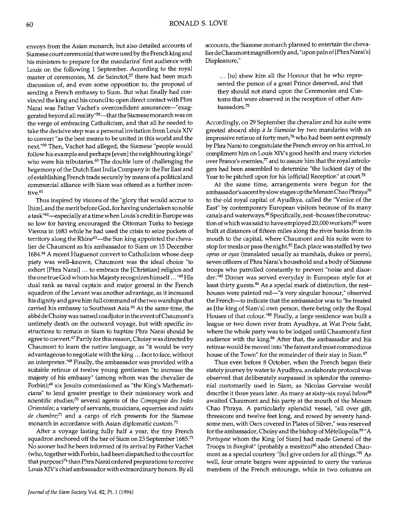envoys from the Asian monarch, but also detailed accounts of Siamese court ceremonial that were used by the French king and his ministers to prepare for the mandarins' first audience with Louis on the following 1 September. According to the royal master of ceremonies, M. de Sainctot,<sup>57</sup> there had been much discussion of, and even some opposition to, the proposal of sending a French embassy to Siam. But what finally had convinced the king and his council to open direct contact with Phra Narai was Father Vachet's overconfident assurances-"exaggerated beyond all reality<sup>"58</sup>—that the Siamese monarch was on the verge of embracing Catholicism, and that all he needed to take the decisive step was a personal invitation from Louis XIV to convert "as the best means to be united in this world and the next."59 Then, Vachet had alleged, the Siamese "people would follow his example and perhaps [even] the neighbouring kings" who were his tributaries.<sup>60</sup> The double lure of challenging the hegemony of the Dutch East India Company in the Far East and of establishing French trade securely by means of a political and commercial alliance with Siam was offered as a further incentive.61

Thus inspired by visions of the "glory that would accrue to [him], and the merit before God, for having undertaken so noble a task"62-especially at a time when Louis's creditin Europe was so low for having encouraged the Ottoman Turks to besiege Vienna in 1683 while he had used the crisis to seize pockets of territory along the Rhine<sup>63</sup>-the Sun king appointed the chevalier de Chaumont as his ambassador to Siam on 15 December 1684.64 A recent Huguenot convert to Catholicism whose deep piety was well-known, Chaumont was the ideal choice "to exhort [Phra Narai] ... to embrace the [Christian] religion and the one true God whom his Majesty recognizes himself ... "65 His dual rank as naval captain and major general in the French squadron of the Levant was another advantage, as it increased his dignity and gave him full command of the two warships that carried his embassy to Southeast Asia.<sup>66</sup> At the same time, the abbé de Choisy was named coadjutor in the event of Chaumont's untimely death on the outward voyage, but with specific instructions to remain in Siam to baptize Phra Narai should he agree to convert.<sup>67</sup> Partly for this reason, Choisy was directed by Chaumont to learn the native language, as "it would be very advantageous to negotiate with the king ... face to face, without an interpreter."68 Finally, the ambassador was provided with a suitable retinue of twelve young gentlemen "to increase the majesty of his embassy" (among whom was the chevalier de Forbin);<sup>69</sup> six Jesuits commissioned as "the King's Mathematicians" to lend greater prestige to their missionary work and scientific studies;70 several agents of the *Compagnie des Indes Orientales;* a variety of servants, musicians, equerries and *valets de chambre/1* and a cargo of rich presents for the Siamese monarch in accordance with Asian diplomatic custom.72

After a voyage lasting fully half a year, the tiny French squadron anchored off the bar of Siam on 23 September 1685.73 No sooner had he been informed of its arrival by Father Vachet (who, together with Forbin, had been dispatched to the court for that purpose)<sup>74</sup> than Phra Narai ordered preparations to receive Louis XIV's chief ambassador with extraordinary honors. By all

accounts, the Siamese monarch planned to entertain the chevalier de Chaumont magnificently and, "upon pain of [PhraNarai's] Displeasure,"

... [to] shew him all the Honour that he who represented the person of a great Prince deserved, and that they should not stand upon the Ceremonies and Customs that were observed in the reception of other Ambassadors.75

Accordingly, on 29 September the chevalier and his suite were greeted aboard ship *a Ia Siamoise* by two mandarins with an impressive retinue of forty men,<sup>76</sup> who had been sent expressly by Phra Narai to congratulate the French envoy on his arrival, to compliment him on Louis XlV's good health and many victories over France's enemies, $\frac{\pi}{4}$  and to assure him that the royal astrologers had been assembled to determine "the luckiest day of the Year to be pitched upon for his [official] Reception" at court.<sup>78</sup>

At the same time, arrangements were begun for the ambassador's ascent by slow stages uptheMenam Chao Phraya79 to the old royal capital of Ayudhya, called the "Venice of the East" by contemporary European visitors because of its many canals and waterways.<sup>80</sup> Specifically, rest-houses (the construction of which was said to have employed 20,000 workers) $81$  were built at distances of fifteen miles along the river banks from its mouth to the capital, where Chaumont and his suite were to stop for meals or pass the night.<sup>82</sup> Each place was staffed by two *opras* or *oyas* (translated usually as marshals, dukes or peers), seven officers of Phra Narai's household and a body of Siamese troops who patrolled constantly to prevent "noise and disorder."83 Dinner was served everyday in European style for at least thirty guests.<sup>84</sup> As a special mark of distinction, the resthouses were painted red-" a very singular honour," observed the French-to indicate that the ambassador was to "be treated as [the king of Siam's] own person, there being only the Royal Houses of that colour."85 Finally, a large residence was built a league or two down river from Ayudhya, at Wat Prote Saht, where the whole party was to be lodged until Chaumont's first audience with the king.<sup>86</sup> After that, the ambassador and his retinue would be moved into "the fairest and most commodious house of the Town" for the remainder of their stay in Siam.<sup>87</sup>

Thus even before 8 October, when the French began their stately journey by water to Ayudhya, an elaborate protocol was observed that deliberately surpassed in splendor the ceremonial customarily used in Siam, as Nicolas Gervaise would describe it three years later. As many as sixty-six royal *balons88*  awaited Chaumont and his party at the mouth of the Menam Chao Phraya. A particularly splendid vessel, "all over gilt, threescore and twelve feet long, and rowed by seventy handsome men, with Oars covered in Plates of Silver," was reserved for the ambassador, Choisy and the bishop of Metellopolis. 89 "A *Portugese* whom the King [of Siam] had made General of the Troops in *Bangkok"* (probably a mestizo)90 also attended Chaumont as a special courtesy "[to] give orders for all things."91 As well, four ornate barges were appointed to carry the various members of the French entourage, while in two columns on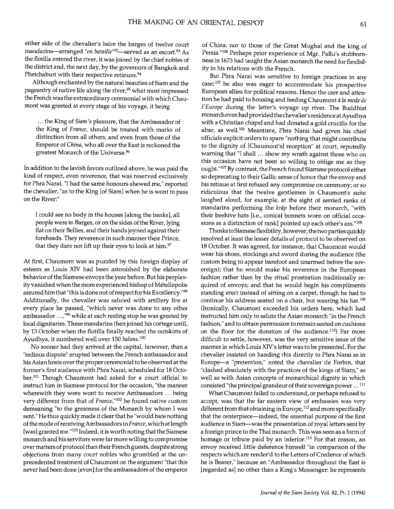either side of the chevalier's *balon* the barges of twelve court mandarins-arranged "en bataille"<sup>92</sup>-served as an escort.<sup>93</sup> As the flotilla entered the river, it was joined by the chief nobles of the district and, the next day, by the governors of Bangkok and Phetchaburi with their respective retinues.<sup>94</sup>

Although enchanted by the natural beauties of Siam and the pageantry of native life along the river,<sup>95</sup> what most impressed the French was the extraordinary ceremonial with which Chaumont was greeted at every stage of his voyage, it being

... the King of *Siam's* pleasure, that the Ambassador of the King of *France,* should be treated with marks of distinction from all others, and even from those of the Emperor of *China,* who all over the East is reckoned the greatest Monarch of the Universe.96

In addition to the lavish favors outlined above, he was paid the kind of respect, even reverence, that was reserved exclusively for Phra Narai. "I had the same honours shewed me," reported the chevalier, "as to the King [of Siam] when he is wont to pass on the River:"

I could see no body in the houses [along the banks], all people were in Barges, or on the sides of the River, lying flat on their Bellies, and their hands joyned against their foreheads. They reverence in such manner their Prince, that they dare not lift up their eyes to look at him.<sup>97</sup>

At first, Chaumont was as puzzled by this foreign display of esteem as Louis XIV had been astonished by the elaborate behavior of the Siamese envoys the year before. But his perplexity vanished when the more experienced bishop of Métellopolis assured him that "this is done out of respect for his Excellency. "98 Additionally, the chevalier was saluted with artillery fire at every place he passed, "which never was done to any other ambassador ...,"<sup>99</sup> while at each resting stop he was greeted by local dignitaries. These mandarins then joined his cortege until, by 13 October when the flotilla finally reached the outskirts of Ayudhya, it numbered well over 150 *balons.*<sup>100</sup>

No sooner had they arrived at the capital, however, than a "tedious dispute" erupted between the French ambassador and his Asian hosts over the proper ceremonial to be observed at the former's first audience with Phra Narai, scheduled for 18 October.101 Though Chaumont had asked for a court official to instruct him in Siamese protocol for the occasion, "the manner wherewith they were wont to receive Ambassadors ... being very different from that of *France,"102* he found native custom demeaning "to the greatness of the Monarch by whom I was sent." He thus quickly made it clear that he "would bate nothing of the mode of receiving Ambassadors in *France,* which at length [was] granted me. "103 Indeed, it is worth noting that the Siamese monarch and his servitors were far more willing to compromise over matters of protocol than their French guests, despite strong objections from many court nobles who grumbled at the unprecedented treatment of Chaumont on the argument "that this never had been done [even] for the ambassadors of the emperor

of China, nor to those of the Great Mughal and the king of Persia."104 Perhaps prior experience of Mgr. Pallu's stubbornness in 1673 had taught the Asian monarch the need for flexibility in his relations with the French.

But Phra Narai was sensitive to foreign practices in any case;105 he also was eager to accommodate his prospective European allies for political reasons. Hence the care and attention he had paid to housing and feeding Chaumont a *la mode de l'Europe* during the latter's voyage up river. The Buddhist monarch even had provided thechevalier'sresidenceatA yudhya with a Christian chapel and had donated a gold crucifix for the altar, as well.<sup>106</sup> Meantime, Phra Narai had given his chief officials explicit orders to spare "nothing that might contribute to the dignity of [Chaumont's] reception" at court, reputedly warning that "I shall ... show my wrath against those who on this occasion have not been so willing to oblige me as they ought. "107 By contrast, the French found Siamese protocol either so deprecating to their Gallic sense of honor that the envoy and his retinue at first refused any compromise on ceremony; or so ridiculous that the twelve gentlemen in Chaumont's suite laughed aloud, for example, at the sight of serried ranks of mandarins performing the krāp before their monarch, "with their beehive hats [i.e., conical bonnets worn on official occasions as a distinction of rank] pointed up each other's ass."108

Thanks to Siamese flexibility, however, the two parties quickly resolved at least the lesser details of protocol to be observed on 18 October. It was agreed, for instance, that Chaumont would wear his shoes, stockings and sword during the audience (the custom being to appear barefoot and unarmed before the sovereign); that he would make his reverence in the European fashion rather than by the ritual prostration traditionally required of envoys; and that he would begin his compliments standing erect instead of sitting on a carpet, though he had to continue his address seated on a chair, but wearing his hat.<sup>109</sup> (Ironically, Chaumont exceeded his orders here, which had instructed him only to salute the Asian monarch "in the French fashion," and to obtain permission to remain seated on cushions on the floor for the duration of the audience.110) Far more difficult to settle, however, was the very sensitive issue of the manner in which Louis XIV's letter was to be presented. For the chevalier insisted on handing this directly to Phra Narai as in Europe-a "pretention," noted the chevalier de Forbin, that "clashed absolutely with the practices of the kings of Siam," as well as with Asian concepts of monarchical dignity in which consisted "the principal grandeur of their sovereign power ...<sup>111</sup>

What Chaumont failed to understand, or perhaps refused to accept, was that the far eastern view of embassies was very different from that obtaining in Europe,<sup>112</sup> and more specifically that the centerpiece-indeed, the essential purpose of the first audience in Siam-was the presentation of royal letters sent by a foreign prince to the Thai monarch. This was seen as a form of homage or tribute paid by an inferior.<sup>113</sup> For that reason, an envoy received little deference himself "in comparison of the respects which are render'd to the Letters of Credence of which he is Bearer," because an "Ambassador throughout the East is [regarded as] no other than a King's Messenger: he represents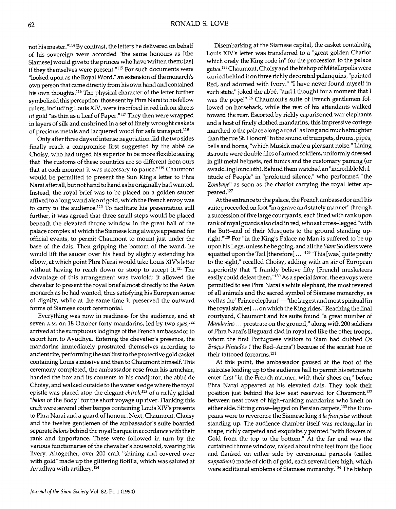not his master."114 By contrast, the letters he delivered on behalf of his sovereign were accorded "the same honours as [the Siamese] would give to the princes who have written them; [as] if they themselves were present."115 For such documents were "looked upon as the Royal Word," an extension of the monarch's own person that came directly from his own hand and contained his own thoughts.116 The physical character of the letter further symbolized this perception: those sent by Phra Narai to his fellow rulers, including Louis XIV, were inscribed in red ink on sheets of gold "as thin as a Leaf of Paper."117 They then were wrapped in layers of silk and enshrined in a set of finely wrought caskets of precious metals and lacquered wood for safe transport.118

Only after three days of intense negotiation did the two sides finally reach a compromise first suggested by the abbé de Choisy, who had urged his superior to be more flexible seeing that "the customs of these countries are so different from ours that at each moment it was necessary to pause."119 Chaumont would be permitted to present the Sun King's letter to Phra Narai after all, but not hand to hand as he originally had wanted. Instead, the royal brief was to be placed on a golden saucer affixed to a long wand also of gold, which the French envoy was to carry to the audience.120 To facilitate his presentation still further, it was agreed that three small steps would be placed beneath the elevated throne window in the great hall of the palace complex at which the Siamese king always appeared for official events, to permit Chaumont to mount just under the base of the dais. Then gripping the bottom of the wand, he would lift the saucer over his head by slightly extending his elbow, at which point Phra Narai would take Louis XIV's letter without having to reach down or stoop to accept it.<sup>121</sup> The advantage of this arrangement was twofold: it allowed the chevalier to present the royal brief almost directly to the Asian monarch as he had wanted, thus satisfying his European sense of dignity, while at the same time it preserved the outward forms of Siamese court ceremonial.

Everything was now in readiness for the audience, and at seven A.M. on 18 October forty mandarins, led by two *oyas,*<sup>122</sup> arrived at the sumptuous lodgings of the French ambassador to escort him to Ayudhya. Entering the chevalier's presence, the mandarins immediately prostrated themselves according to ancient rite, performing the *wai* first to the protective gold casket containing Louis's missive and then to Chaumont himself. This ceremony completed, the ambassador rose from his armchair, handed the box and its contents to his coadjutor, the abbé de Choisy, and walked outside to the water's edge where the royal epistle was placed atop the elegant *chirole123* of a richly gilded *"balon* of the Body" for the short voyage up river. Flanking this craft were several other barges containing Louis XIV's presents to Phra Narai and a guard of honour. Next, Chaumont, Choisy and the twelve gentlemen of the ambassador's suite boarded separate *balons* behind the royal barque in accordance with their rank and importance. These were followed in turn by the various functionaries of the chevalier's household, wearing his livery. Altogether, over 200 craft "shining and covered over with gold" made up the glittering flotilla, which was saluted at Ayudhya with artillery.<sup>124</sup>

Disembarking at the Siamese capital, the casket containing Louis XIV's letter was transferred to a "great golden Chariot which onely the King rode in" for the procession to the palace gates.<sup>125</sup> Chaumont, Choisy and the bishop of Métellopolis were carried behind it on three richly decorated palanquins, "painted Red, and adorned with Ivory." "I have never found myself in such state," joked the abbé, "and I thought for a moment that I was the pope!"126 Chaumont's suite of French gentlemen followed on horseback, while the rest of his attendants walked toward the rear. Escorted by richly caparisoned war elephants and a host of finely clothed mandarins, this impressive cortege marched to the palace along a road "as long and much straighter than the rue St. Honoré" to the sound of trumpets, drums, pipes, bells and horns, "which Musick made a pleasant noise." Lining its route were double files of armed soldiers, uniformly dressed in gilt metal helmets, red tunics and the customary panung (or swaddling loincloth). Behind them watched an "incredible Multitude of People" in "profound silence," who performed "the *Zombaye"* as soon as the chariot carrying the royal letter appeared.127

At the entrance to the palace, the French ambassador and his suite proceeded on foot "in a grave and stately manner" through a succession of five large courtyards, each lined with rank upon rank of royal guards also clad in red, who sat cross-legged "with the Butt-end of their Musquets to the ground standing upright."128 For "in the King's Palace no Man is suffered to be up upon his Legs, unless he be going, and all the *Siam* Soldiers were squatted upon the Tail [therefore] ... "129 "This [was] quite pretty to the sight," recalled Choisy, adding with an air of European superiority that "I frankly believe fifty [French] musketeers easily could defeat them. "130 As a special favor, the envoys were permitted to see Phra Narai's white elephant, the most revered of all animals and the sacred symbol of Siamese monarchy, as well as the "Prince elephant"-"the largest and most spiritual [in the royal stables] ... on which the King rides." Reaching the final courtyard, Chaumont and his suite found "a great number of *Mandarins* ... prostrate on the ground," along with 200 soldiers of Phra Narai's lifeguard clad in royal red like the other troops, whom the first Portuguese visitors to Siam had dubbed Os *Braqos Pintados* ("the Red-Arms") because of the scarlet hue of their tattooed forearms. <sup>131</sup>

At this point, the ambassador paused at the foot of the staircase leading up to the audience hall to permit his retinue to enter first "in the French manner, with their shoes on," before Phra Narai appeared at his elevated dais. They took their position just behind the low seat reserved for Chaumont,<sup>132</sup> between neat rows of high-ranking mandarins who knelt on either side. Sitting cross-legged on Persian carpets,<sup>133</sup> the Europeans were to reverence the Siamese king *a la franqaise* without standing up. The audience chamber itself was rectangular in shape, richly carpeted and exquisitely painted "with flowers of Gold from the top to the bottom." At the far end was the curtained throne window, raised about nine feet from the floor and flanked on either side by ceremonial parasols (called *suppathon)* made of cloth of gold, each several tiers high, which were additional emblems of Siamese monarchy.134 The bishop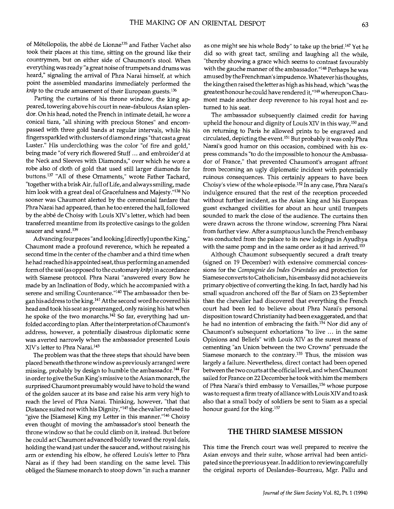of Métellopolis, the abbé de Lionne<sup>135</sup> and Father Vachet also took their places at this time, sitting on the ground like their countrymen, but on either side of Chaumont's stool. When everything was ready "a great noise of trumpets and drums was heard," signaling the arrival of Phra Narai himself, at which point the assembled mandarins immediately performed the *krāp* to the crude amusement of their European guests.<sup>136</sup>

Parting the curtains of his throne window, the king appeared, towering above his court in near-fabulous Asian splendor. On his head, noted the French in intimate detail, he wore a conical tiara, "all shining with precious Stones" and encompassed with three gold bands at regular intervals, while his fingers sparkled with clusters of diamond rings "that cast a great Luster." His underclothing was the color "of fire and gold," being made "of very rich flowered Stuff ... and embroider'd at the Neck and Sleeves with Diamonds," over which he wore a robe also of cloth of gold that used still larger diamonds for buttons.137 "All of these Ornaments," wrote Father Tachard, "together with a brisk Air, full of Life, and always smiling, made him look with a great deal of Gracefulness and Majesty."138 No sooner was Chaumont alerted by the ceremonial fanfare that Phra Narai had appeared, than he too entered the hall, followed by the abbé de Choisy with Louis XIV's letter, which had been transferred meantime from its protective casings to the golden saucer and wand.<sup>139</sup>

Advancing four paces "and looking [directly] upon the King," Chaumont made a profound reverence, which he repeated a second time in the center of the chamber and a third time when he had reached his appointed seat, thus performing an amended form of the *wai* (as opposed to the customary *kriip)* in accordance with Siamese protocol. Phra Narai "answered every Bow he made by an Inclination of Body, which he accompanied with a serene and smiling Countenance."<sup>140</sup> The ambassador then began his address to the king.141 At the second word he covered his head and took his seat as prearranged, only raising his hat when he spoke of the two monarchs.142 So far, everything had unfolded according to plan. After the interpretation of Chaumont's address, however, a potentially disastrous diplomatic scene was averted narrowly when the ambassador presented Louis XIV's letter to Phra Narai.143

The problem was that the three steps that should have been placed beneath the throne window as previously arranged were missing, probably by design to humble the ambassador.144 For in order to give the Sun King's missive to the Asian monarch, the surprised Chaumont presumably would have to hold the wand of the golden saucer at its base and raise his arm very high to reach the level of Phra Narai. Thinking, however, "that that Distance suited not with his Dignity,"145 the chevalier refused to "give the [Siamese] King my Letter in this manner."<sup>146</sup> Choisy even thought of moving the ambassador's stool beneath the throne window so that he could climb on it, instead. But before he could act Chaumont advanced boldly toward the royal dais, holding the wand just under the saucer and, without raising his arm or extending his elbow, he offered Louis's letter to Phra Narai as if they had been standing on the same level. This obliged the Siamese monarch to stoop down "in such a manner

as one might see his whole Body" to take up the brief.147 Yet he did so with great tact, smiling and laughing all the while, "thereby showing a grace which seems to contrast favourably with the gauche manner of the ambassador. "148 Perhaps he was amused by the Frenchman's impudence. Whatever his thoughts, the king then raised the letter as high as his head, which "was the greatest honour he could have rendered it, "149 whereupon Chaumont made another deep reverence to his royal host and returned to his seat.

The ambassador subsequently claimed credit for having upheld the honour and dignity of Louis XIV in this way,<sup>150</sup> and on returning to Paris he allowed prints to be engraved and circulated, depicting the event.151 But probably it was only Phra Narai's good humor on this occasion, combined with his express commands "to do the impossible to honour the Ambassador of France," that prevented Chaumont's arrogant affront from becoming an ugly diplomatic incident with potentially ruinous consequences. This certainly appears to have been Choisy's view of the whole episode.152 In any case, Phra Narai's indulgence ensured that the rest of the reception proceeded without further incident, as the Asian king and his European guest exchanged civilities for about an hour until trumpets sounded to mark the close of the audience. The curtains then were drawn across the throne window, screening Phra Narai from further view. After a sumptuous lunch the French embassy was conducted from the palace to its new lodgings in Ayudhya with the same pomp and in the same order as it had arrived.<sup>153</sup>

Although Chaumont subsequently secured a draft treaty (signed on 19 December) with extensive commercial concessions for the *Compagnie des Indes Orientales* and protection for Siamese converts to Catholicism, his embassy did not achieve its primary objective of converting the king. In fact, hardly had his small squadron anchored off the Bar of Siam on 23 September than the chevalier had discovered that everything the French court had been led to believe about Phra Narai's personal disposition toward Christianity had been exaggerated, and that he had no intention of embracing the faith.<sup>154</sup> Nor did any of Chaumont's subsequent exhortations "to live ... in the same Opinions and Beliefs" with Louis XIV as the surest means of cementing "an Union between the two Crowns" persuade the Siamese monarch to the contrary.155 Thus, the mission was largely a failure. Nevertheless, direct contact had been opened between the two courts at the official level, and when Chaumont sailed for France on 22 December he took with him the members of Phra Narai's third embassy to Versailles,<sup>156</sup> whose purpose was to request a firm treaty of alliance with Louis XIV and to ask also that a small body of soldiers be sent to Siam as a special honour guard for the king.157

#### **THE THIRD SIAMESE MISSION**

This time the French court was well prepared to receive the Asian envoys and their suite, whose arrival had been anticipated since the previous year. In addition to reviewing carefully the original reports of Deslandes-Bourreau, Mgr. Pallu and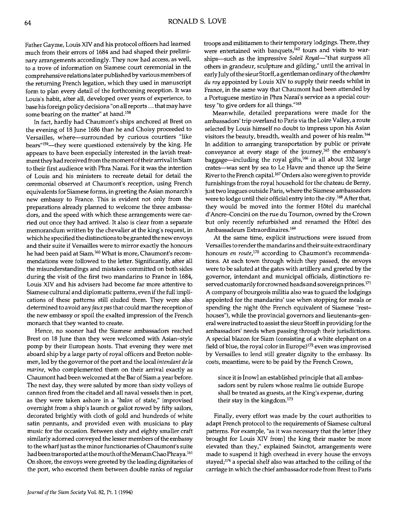Father Gayme, Louis XIV and his protocol officers had learned much from their errors of 1684 and had shaped their preliminary arrangements accordingly. They now had access, as well, to a trove of information on Siamese court ceremonial in the comprehensive relations later published by various members of the returning French legation, which they used in manuscript form to plan every detail of the forthcoming reception. It was Louis's habit, after all, developed over years of experience, to base his foreign policy decisions "on all reports ... that may have some bearing on the matter" at hand.<sup>158</sup>

In fact, hardly had Chaumont's ships anchored at Brest on the evening of 18 June 1686 than he and Choisy proceeded to Versailles, where--surrounded by curious courtiers "like bears"<sup>159</sup>-they were questioned extensively by the king. He appears to have been especially interested in the lavish treatment they had received from the moment of their arrival in Siam to their first audience with Phra Narai. For it was the intention of Louis and his ministers to recreate detail for detail the ceremonial observed at Chaumont's reception, using French equivalents for Siamese forms, in greeting the Asian monarch's new embassy to France. This is evident not only from the preparations already planned to welcome the three ambassadors, and the speed with which these arrangements were carried out once they had arrived. It also is clear from a separate memorandum written by the chevalier at the king's request, in which he specified the distinctions to be granted the new envoys and their suite if Versailles were to mirror exactly the honours he had been paid at Siam.<sup>160</sup> What is more, Chaumont's recommendations were followed to the letter. Significantly, after all the misunderstandings and mistakes committed on both sides during the visit of the first two mandarins to France in 1684, Louis XIV and his advisers had become far more attentive to Siamese cultural and diplomatic patterns, even if the full implications of these patterns still eluded them. They were also determined to avoid any *faux pas* that could mar the reception of the new embassy or spoil the exalted impression of the French monarch that they wanted to create.

Hence, no sooner had the Siamese ambassadors reached Brest on 18 June than they were welcomed with Asian-style pomp by their European hosts. That evening they were met aboard ship by a large party of royal officers and Breton noblemen, led by the governor of the port and the local *intendant de Ia marine,* who complemented them on their arrival exactly as Chaumont had been welcomed at the Bar of Siam a year before. The next day, they were saluted by more than sixty volleys of cannon fired from the citadel and all naval vessels then in port, as they were taken ashore in a *"halon* of state," improvised overnight from a ship's launch or galiot rowed by fifty sailors, decorated brightly with cloth of gold and hundreds of white satin pennants, and provided even with musicians to play music for the occasion. Between sixty and eighty smaller craft similarly adorned conveyed the lesser members of the embassy to the wharf just as the minor functionaries of Chaumont's suite had been transported at the mouth of the Menam Chao Phraya.<sup>161</sup> On shore, the envoys were greeted by the leading dignitaries of the port, who escorted them between double ranks of regular

troops and militiamen to their temporary lodgings. There, they were entertained with banquets,<sup>162</sup> tours and visits to warships-such as the impressive *Soleil Royal-"that* surpass all others in grandeur, sculpture and gilding," until the arrival in early July of the sieur Storff, a gentleman ordinary of the *chambre du roy* appointed by Louis XIV to supply their needs whilst in France, in the same way that Chaumont had been attended by a Portuguese mestizo in Phra Narai's service as a special courtesy "to give orders for all things."163

Meanwhile, detailed preparations were made for the ambassadors' trip overland to Paris via the Loire Valley, a route selected by Louis himself no doubt to impress upon his Asian visitors the beauty, breadth, wealth and power of his realm.164 In addition to arranging transportation by public or private conveyance at every stage of the journey,<sup>165</sup> the embassy's baggage-including the royal gifts,<sup>166</sup> in all about 332 large crates-was sent by sea to Le Havre and thence up the Seine River to the French capital.167 Orders also were given to provide furnishings from the royal household for the chateau de Berny, just two leagues outside Paris, where the Siamese ambassadors were to lodge until their official entry into the city.<sup>168</sup> After that, they would be moved into the former Hôtel du maréchal d'Ancre-Concini on the rue du Tournon, owned by the Crown but only recently refurbished and renamed the Hôtel des Ambassadeurs Extraordinaires.169

At the same time, explicit instructions were issued from Versailles to render the mandarins and their suite extraordinary honours *en route,170* according to Chaumont's recommendations. At each town through which they passed, the envoys were to be saluted at the gates with artillery and greeted by the governor, intendant and municipal officials, distinctions reserved customarily for crowned heads and sovereign princes.<sup>171</sup> A company of bourgeois militia also was to guard the lodgings appointed for the mandarins' use when stopping for meals or spending the night (the French equivalent of Siamese "resthouses"), while the provincial governors and lieutenants-general were instructed to assist the sieur Storff in providing for the ambassadors' needs when passing through their jurisdictions. A special blazon for Siam (consisting of a white elephant on a field of blue, the royal color in Europe)172 even was improvised by Versailles to lend still greater dignity to the embassy. Its costs, meantime, were to be paid by the French Crown,

since it is [now] an established principle that all ambassadors sent by rulers whose realms lie outside Europe shall be treated as guests, at the King's expense, during their stay in the kingdom.173

Finally, every effort was made by the court authorities to adapt French protocol to the requirements of Siamese cultural patterns. For example, "as it was necessary that the letter [they brought for Louis XIV from] the king their master be more elevated than they," explained Sainctot, arrangements were made to suspend it high overhead in every house the envoys stayed;174 a special shelf also was attached to the ceiling of the carriage in which the chief ambassador rode from Brest to Paris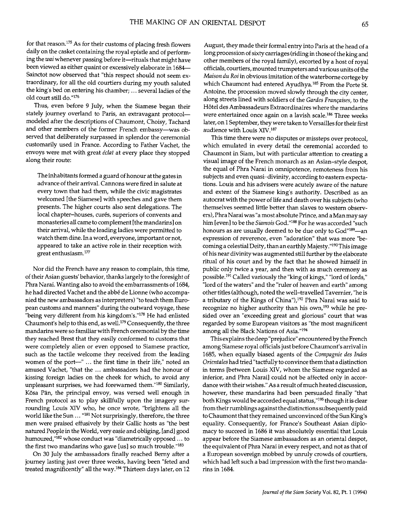for that reason.<sup>175</sup> As for their customs of placing fresh flowers daily on the casket containing the royal epistle and of performing the *wai* whenever passing before it-rituals that might have been viewed as either quaint or excessively elaborate in 1684-Sainctot now observed that "this respect should not seem extraordinary, for all the old courtiers during my youth saluted the king's bed on entering his chamber; ... several ladies of the old court still do."176

Thus, even before 9 July, when the Siamese began their stately journey overland to Paris, an extravagant protocolmodeled after the descriptions of Chaumont, Choisy, Tachard and other members of the former French embassy-was observed that deliberately surpassed in splendor the ceremonial customarily used in France. According to Father Vachet, the envoys were met with great *eclat* at every place they stopped along their route:

The inhabitants formed a guard of honour at the gates in advance of their arrival. Cannons were fired in salute at every town that had them, while the civic magistrates welcomed [the Siamese] with speeches and gave them presents. The higher courts also sent delegations. The local chapter-houses, curés, superiors of convents and monasteries all came to complement [the mandarins] on their arrival, while the leading ladies were permitted to watch them dine. In a word, everyone, important or not, appeared to take an active role in their reception with great enthusiasm.177

Nor did the French have any reason to complain, this time, oftheir Asian guests' behavior, thanks largely to the foresight of Phra Narai. Wanting also to avoid the embarrassments of 1684, he had directed Vachet and the abbé de Lionne (who accompanied the new ambassadors as interpreters) "to teach them European customs and manners" during the outward voyage, these "being very different from his kingdom's."<sup>178</sup> He had enlisted Chaumont's help to this end, as well.<sup>179</sup> Consequently, the three mandarins were so familiar with French ceremonial by the time they reached Brest that they easily conformed to customs that were completely alien or even opposed to Siamese practice, such as the tactile welcome they received from the leading women of the port-" ... the first time in their life," noted an amused Vachet, "that the ... ambassadors had the honour of kissing foreign ladies on the cheek for which, to avoid any unpleasant surprises, we had forewarned them."180 Similarly, Kōsa Pān, the principal envoy, was versed well enough in French protocol as to play skillfully upon the imagery surrounding Louis XIV who, he once wrote, "brightens all the world like the Sun ... "<sup>181</sup> Not surprisingly, therefore, the three men were praised effusively by their Gallic hosts as "the best natured People in the World, very easie and obliging, [and] good humoured,"182 whose conduct was "diametrically opposed ... to the first two mandarins who gave [us] so much trouble."183

On 30 July the ambassadors finally reached Berny after a journey lasting just over three weeks, having been "feted and treated magnificently" all the way.<sup>184</sup> Thirteen days later, on 12

August, they made their formal entry into Paris at the head of a long procession of sixty carriages (riding in those of the king and other members of the royal family), escorted by a host of royal officials, courtiers, mounted trumpeters and various units of the *Maison du* Roi in obvious imitation of the waterborne cortege by which Chaumont had entered Ayudhya.185 From the Porte St. Antoine, the procession moved slowly through the city center, along streets lined with soldiers of the *Gardes Franqaises,* to the Hotel des Ambassadeurs Extraordinaires where the mandarins were entertained once again on a lavish scale.<sup>186</sup> Three weeks later, on 1 September, they were taken to Versailles for their first audience with Louis XIV.187

This time there were no disputes or missteps over protocol, which emulated in every detail the ceremonial accorded to Chaumont in Siam, but with particular attention to creating a visual image of the French monarch as an Asian-style despot, the equal of Phra Narai in omnipotence, remoteness from his subjects and even quasi-divinity, according to eastern expectations. Louis and his advisers were acutely aware of the nature and extent of the Siamese king's authority. Described as an autocrat with the power of life and death over his subjects (who themselves seemed little better than slaves to western observers), Phra Narai was "a most absolute Prince, and a Man may say him [even] to be the Siamois God."188 For he was accorded "such honours as are usually deemed to be due only to God"189-an expression of reverence, even "adoration" that was more "becoming a celestial Deity, than an earthly Majesty. "190 This image of his near divinity was augmented still further by the elaborate ritual of his court and by the fact that he showed himself in public only twice a year, and then with as much ceremony as possible. 191 Called variously the "king of kings," "lord of lords," "lord of the waters" and the "ruler of heaven and earth" among other titles (although, noted the well-travelled Tavernier, "he is a tributary of the Kings of China"),<sup>192</sup> Phra Narai was said to recognize no higher authority than his own,<sup>193</sup> while he presided over an "exceeding great and glorious" court that was regarded by some European visitors as "the most magnificent among all the Black Nations of Asia."194

This explains the deep "prejudice" encountered by the French among Siamese royal officials just before Chaumont's arrival in 1685, when equally biased agents of the *Compagnie des Indes Orientales* had tried "tactfully to convince them that a distinction in terms [between Louis XIV, whom the Siamese regarded as inferior, and Phra Narai] could not be affected only in accordance with their wishes." As a result of much heated discussion, however, these mandarins had been persuaded finally "that both Kings would be accorded equal status,"<sup>195</sup> though it is clear from their rumblings against the distinctions subsequently paid to Chaumont that they remained unconvinced of the Sun King's equality. Consequently, for France's Southeast Asian diplomacy to succeed in 1686 it was absolutely essential that Louis appear before the Siamese ambassadors as an oriental despot, the equivalent of Phra Narai in every respect, and not as that of a European sovereign mobbed by unruly crowds of courtiers, which had left such a bad impression with the first two mandarins in 1684.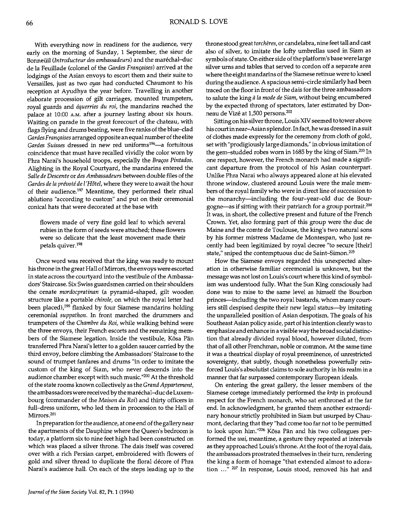With everything now in readiness for the audience, very early on the morning of Sunday, 1 September, the sieur de Bonneiiil *(Introducteur des ambassadeurs)* and the marechal-duc de la Feuillade (colonel of the *Gardes Franqaises)* arrived at the lodgings of the Asian envoys to escort them and their suite to Versailles, just as two *oyas* had conducted Chaumont to his reception at Ayudhya the year before. Travelling in another elaborate procession of gilt carriages, mounted trumpeters, royal guards and *equerries du* roi, the mandarins reached the palace at 10:00 A.M. after a journey lasting about six hours. Waiting on parade in the great forecourt of the chateau, with flags flying and drums beating, were five ranks of the blue-dad *Gardes Fram;aises* arranged opposite an equal number of the elite Gardes Suisses dressed in new red uniforms<sup>196</sup>-a fortuitous coincidence that must have recalled vividly the color worn by Phra Narai's household troops, especially the *Braços Pintados*. Alighting in the Royal Courtyard, the mandarins entered the *Salle de Descente* or *des Ambassadeurs* between double files of the *Gardes de la prevote de l'Hotel,* where they were to await the hour of their audience.<sup>197</sup> Meantime, they performed their ritual ablutions "according to custom" and put on their ceremonial conical hats that were decorated at the base with

flowers made of very fine gold leaf to which several rubies in the form of seeds were attached; these flowers were so delicate that the least movement made their petals quiver.198

Once word was received that the king was ready to mount his throne in the great Hall of Mirrors, the envoys were escorted in state across the courtyard into the vestibule of the Ambassadors' Staircase. Six Swiss guardsmen carried on their shoulders the ornate *mordocpratinan* (a pyramid-shaped, gilt wooden structure like a portable *chirole,* on which the royal letter had been placed),<sup>199</sup> flanked by four Siamese mandarins holding ceremonial *suppathon.* In front marched the drummers and trumpeters of the *Chambre du* Roi, while walking behind were the three envoys, their French escorts and the remaining members of the Siamese legation. Inside the vestibule, Kōsa Pān transferred Phra Narai's letter to a golden saucer carried by the third envoy, before climbing the Ambassadors' Staircase to the sound of trumpet fanfares and drums "in order to imitate the custom of the king of Siam, who never descends into the audience chamber except with such music."<sup>200</sup> At the threshold of the state rooms known collectively as the *Grand Appartement,*  the ambassadors were received by the maréchal-duc de Luxembourg (commander of the *Maison du* Roi) and thirty officers in full-dress uniform, who led them in procession to the Hall of Mirrors.<sup>201</sup>

In preparation for the audience, at one end of the gallery near the apartments of the Dauphine where the Queen's bedroom is today, a platform six to nine feet high had been constructed on which was placed a silver throne. The dais itself was covered over with a rich Persian carpet, embroidered with flowers of gold and silver thread to duplicate the floral decore of Phra Narai's audience hall. On each of the steps leading up to the throne stood great *torcheres,* or candelabra, nine feet tall and cast also of silver, to imitate the lofty umbrellas used in Siam as symbols of state. On either side of the platform's base were large silver urns and tables that served to cordon off a separate area where the eight mandarins of the Siamese retinue were to kneel during the audience. A spacious semi-circle similarly had been traced on the floor in front of the dais for the three ambassadors to salute the king *a la mode de Siam,* without being encumbered by the expected throng of spectators, later estimated by Donneau de Vize at 1,500 persons.202

Sitting on his silver throne, Louis XIV seemed to tower above his court in near-Asian splendor. In fact, he was dressed in a suit of clothes made expressly for the ceremony from cloth of gold, set with "prodigiously large diamonds," in obvious imitation of the gem-studded robes worn in 1685 by the king of Siam.<sup>203</sup> In one respect, however, the French monarch had made a significant departure from the protocol of his Asian counterpart. Unlike Phra Narai who always appeared alone at his elevated throne window, clustered around Louis were the male members of the royal family who were in direct line of succession to the monarchy-including the four-year-old due de Bourgogne—as if sitting with their patriarch for a group portrait.<sup>204</sup> It was, in short, the collective present and future of the French Crown. Yet, also forming part of this group were the due de Maine and the comte de Toulouse, the king's two natural sons by his former mistress Madame de Montespan, who just recently had been legitimized by royal decree "to secure [their] state," sniped the contemptuous duc de Saint-Simon.<sup>205</sup>

How the Siamese envoys regarded this unexpected alteration in otherwise familiar ceremonial is unknown, but the message was not lost on Louis's court where this kind of symbolism was understood fully. What the Sun King consciously had done was to raise to the same level as himself the Bourbon princes—including the two royal bastards, whom many courtiers still despised despite their new legal status-by imitating the unparalleled position of Asian despotism. The goals of his Southeast Asian policy aside, part of his intention clearly was to emphasize and enhance in a visible way the broad social distinction that already divided royal blood, however diluted, from that of all other Frenchman, noble or common. At the same time it was a theatrical display of royal preeminence, of unrestricted sovereignty, that subtly, though nonetheless powerfully reinforced Louis's absolutist claims to sole authority in his realm in a manner that far surpassed contemporary European ideals.

On entering the great gallery, the lesser members of the Siamese cortege immediately performed the *krāp* in profound respect for the French monarch, who sat enthroned at the far end. In acknowledgment, he granted them another extraordinary honour strictly prohibited in Siam but usurped by Chaumont, declaring that they "had come too far not to be permitted to look upon him."<sup>206</sup> Kōsa Pān and his two colleagues performed the *wai,* meantime, a gesture they repeated at intervals as they approached Louis's throne. At the foot of the royal dais, the ambassadors prostrated themselves in their turn, rendering the king a form of homage "that extended almost to adoration ... " 207 In response, Louis stood, removed his hat and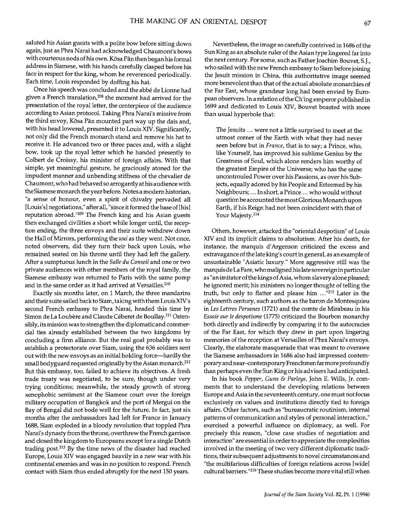saluted his Asian guests with a polite bow before sitting down again, just as Phra Narai had acknowledged Chaumont's bows with courteous nods of his own. Kōsa Pān then began his formal address in Siamese, with his hands carefully clasped before his face in respect for the king, whom he reverenced periodically. Each time, Louis responded by doffing his hat.

Once his speech was concluded and the abbé de Lionne had given a French translation,<sup>208</sup> the moment had arrived for the presentation of the royal letter, the centerpiece of the audience according to Asian protocol. Taking Phra Narai's missive from the third envoy, Kōsa Pān mounted part way up the dais and, with his head lowered, presented it to Louis XIV. Significantly, not only did the French monarch stand and remove his hat to receive it. He advanced two or three paces and, with a slight bow, took up the royal letter which he handed presently to Colbert de Croissy, his minister of foreign affairs. With that simple, yet meaningful gesture, he graciously atoned for the impudent manner and unbending stiffness of the chevalier de Chaumont, who had behaved so arrogantly at his audience with the Siamese monarch the year before. Notes a modern historian, "a sense of honour, even a spirit of chivalry pervaded all [Louis's] negotiations," after all, "since it formed the base of [his] reputation abroad."<sup>209</sup> The French king and his Asian guests then exchanged civilities a short while longer until, the reception ending, the three envoys and their suite withdrew down the Hall of Mirrors, performing the *wai* as they went. Not once, noted observers, did they turn their back upon Louis, who remained seated on his throne until they had left the gallery. After a sumptuous lunch in the *Salle du Conseil* and one or two private audiences with other members of the royal family, the Siamese embassy was returned to Paris with the same pomp and in the same order as it had arrived at Versailles.<sup>210</sup>

Exactly six months later, on 1 March, the three mandarins and their suite sailed back to Siam, taking with them Louis XIV's second French embassy to Phra Narai, headed this time by Simon de La Loubère and Claude Céberet de Boullay.<sup>211</sup> Ostensibly, its mission was to strengthen the diplomatic and commercial ties already established between the two kingdoms by concluding a firm alliance. But the real goal probably was to establish a protectorate over Siam, using the 636 soldiers sent out with the new envoys as an initial holding force-hardly the small bodyguard requested originally by the Asian monarch.<sup>212</sup> But this embassy, too, failed to achieve its objectives. A fresh trade treaty was negotiated, to be sure, though under very trying conditions; meanwhile, the steady growth of strong xenophobic sentiment at the Siamese court over the foreign military occupation of Bangkok and the port of Mergui on the Bay of Bengal did not bode well for the future. In fact, just six months after the ambassadors had left for France in January 1688, Siam exploded in a bloody revolution that toppled Phra Narai's dynasty from the throne, overthrew the French garrison and closed the kingdom to Europeans except for a single Dutch trading post.<sup>213</sup> By the time news of the disaster had reached Europe, Louis XIV was engaged heavily in a new war with his continental enemies and was in no position to respond. French contact with Siam thus ended abruptly for the next 150 years.

Nevertheless, the image so carefully contrived in 1686 of the Sun King as an absolute ruler of the Asian type lingered far into the next century. For some, such as Father Joachim Bouvet, S.J., who sailed with the new French embassy to Siam before joining the Jesuit mission in China, this authoritative image seemed more benevolent than that of the actual absolute monarchies of the Far East, whose grandeur long had been envied by European observers. In a relation of the Ch'ing emperor published in 1699 and dedicated to Louis XIV, Bouvet boasted with more than usual hyperbole that:

The Jesuits ... were not a little surprised to meet at the utmost corner of the Earth with what they had never seen before but in *France,* that is to say; a Prince, who, like Yourself, has improved his sublime Genius by the Greatness of Soul, which alone renders him worthy of the greatest Empire of the Universe; who has the same uncontrouled Power over his Passions, as over his Subjects, equally adored by his People and Esteemed by his Neighbours; ... In short, a Prince ... who would without question be accounted the most Glorious Monarch upon Earth, if his Reign had not been coincident with that of Your Majesty.214

Others, however, attacked the "oriental despotism" of Louis XIV and its implicit claims to absolutism. After his death, for instance, the marquis d'Argenson criticized the excess and extravagance of the late king's court in general, as an example of unsustainable "Asiatic luxury." More aggressive still was the marquis de La Fare, who maligned his late sovereign in particular as "an imitator of the kings of Asia, whom slavery alone pleased; he ignored merit; his ministers no longer thought of telling the truth, but only to flatter and please him ... "215 Later in the eighteenth century, such authors as the baron de Montesquieu in *Les Lettres Persanes* (1721) and the comte de Mirabeau in his *Essaie sur le despotisme* (1775) criticized the Bourbon monarchy both directly and indirectly by comparing it to the autocracies of the Far East, for which they drew in part upon lingering memories of the reception at Versailles of Phra Narai's envoys. Clearly, the elaborate masquerade that was meant to overawe the Siamese ambassadors in 1686 also had impressed contemporary and near-contemporary Frenchmen far more profoundly than perhaps even the Sun King or his advisers had anticipated.

In his book *Pepper, Guns* & *Parleys,* John E. Wills, Jr. comments that to understand the developing relations between Europe and Asia in the seventeenth century, one must not focus exclusively on values and institutions directly tied to foreign affairs. Other factors, such as "bureaucratic routinism, internal patterns of communication and styles of personal interaction," exercised a powerful influence on diplomacy, as well. For precisely this reason, "close case studies of negotiation and interaction" are essential in order to appreciate the complexities involved in the meeting of two very different diplomatic traditions, their subsequent adjustments to novel circumstances and "the multifarious difficulties of foreign relations across [wide] cultural barriers."216 These studies become more vital still when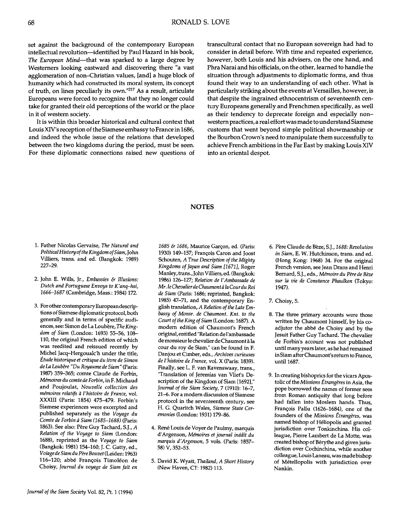set against the background of the contemporary European intellectual revolution-identified by Paul Hazard in his book, The European Mind-that was sparked to a large degree by Westerners looking eastward and discovering there "a vast agglomeration of non-Christian values, [and] a huge block of humanity which had constructed its moral system, its concept of truth, on lines peculiarly its own."217 As a result, articulate Europeans were forced to recognize that they no longer could take for granted their old perceptions of the world or the place in it of western society.

It is within this broader historical and cultural context that Louis XIV's reception of the Siamese embassy to France in 1686, and indeed the whole issue of the relations that developed between the two kingdoms during the period, must be seen. For these diplomatic connections raised new questions of transcultural contact that no European sovereign had had to consider in detail before. With time and repeated experience, however, both Louis and his advisers, on the one hand, and Phra Narai and his officials, on the other, learned to handle the situation through adjustments to diplomatic forms, and thus found their way to an understanding of each other. What is particularly striking about the events at Versailles, however, is that despite the ingrained ethnocentrism of seventeenth century Europeans generally and Frenchmen specifically, as well as their tendency to deprecate foreign and especially nonwestern practices, a real effort was made to understand Siamese customs that went beyond simple political showmanship or the Bourbon Crown's need to manipulate them successfully to achieve French ambitions in the Far East by making Louis XIV into an oriental despot.

#### **NOTES**

- 1. Father Nicolas Gervaise, *The Natural and PoliticalHistoryoftheKingdomofSiam,John*  Villiers, trans. and ed. (Bangkok: 1989) 227-29.
- 2. John E. Wills, Jr., *Embassies* & *Illusions: Dutch and Portuguese Envoys to K'anq-hsi, 1666-1687* (Cambridge, Mass.: 1984) 172.
- 3. For other contemporary European descriptions of Siamese diplomatic protocol, both generally and in terms of specific audiences, see: Simon de La Loubere, *The Kingdom of Siam* (London: 1693) 55-56, 108- 110, the original French edition of which was reedited and reissued recently by Michel Jacq-Hergoualc'h under the title, *Etude historique et critique du livre de Simon de La Loubere "Du Royaume de Siam"* (Paris: 1987) 359-365; comte Claude de Forbin, *Memoires du comte de Forbin,* in F. Michaud and Poujoulat, *Nouvelle collection des memoires relatifs a* I *'histoire de France,* vol. XXXIII (Paris: 1854) 475-479. Forbin's Siamese experiences were excerpted and published separately as the *Voyage du Comte de Forbin a Siam (1685-1688)* (Paris: 1863). See also: Père Guy Tachard, S.J., A *Relation of the Voyage to Siam* (London: 1688), reprinted as the *Voyage to Siam*  (Bangkok: 1981) 154-160; J. C. Gatty, ed., *Voiage de Siam du Pere Bouvet* (Leiden: 1963) 116-120; abbé François Timoléon de Choisy, *Journal du voyage de Siam fait en*

1685 & 1686, Maurice Garçon, ed. (Paris: 1930) 149-157; François Caron and Joost Schouten, *A True Description of the Mighty Kingdoms of Japan and Siam [1671],* Roger Manley, trans.,John Villiers, ed. (Bangkok: 1986) 126-127; *Relation de l'Ambassade de Mr.le Chevalier de Chaumont* a *Ia Cour du Roi de Siam* (Paris: 1686; reprinted, Bangkok: 1985) 47-71, and the contemporary English translation, *A Relation of the Late Embassy of Monsr. de Chaumont. Knt. to the Court of the King of Siam* (London: 1687). A modem edition of Chaumont's French original, entitled "Relation de l'ambassade de monsieur le chevalier de Chaumont a Ia cour du roy de Siam," can be found in F. Danjou et Cimber, eds., *Archives curieuses de* I *'histoire de France,* vol. X (Paris: 1839). Finally, see L. F. van Ravenswaay, trans., "Translation of Jeremias van Vliet's Description of the Kingdom of Siam [1692]," *Journal of the Siam Society,* 7 (1910): 16-7, 21-6. For a modem discussion of Siamese protocol in the seventeenth century, see H. G. Quaritch Wales, *Siamese State Ceremonies* (London: 1931) 179-86.

- 4. Rene Louis de Voyer de Paulmy, marquis d'Argenson, *Memoires et journal inedit du marquis d'Argenson,* 5 vols. (Paris: 1857- 58) V, 352-53.
- 5. David K. Wyatt, *Thailand, A Short History*  (New Haven, CT: 1982) 113.
- 6. Pere Claude de Beze, S.J., *1688: Revolution in Siam,* E. W. Hutchinson, trans. and ed. (Hong Kong: 1968) 34. For the original French version, see Jean Drans and Henri Bernard, S.J., eds., *Memoire du Pere de Beze sur Ia vie de Constance Phaulkon* (Tokyo: 1947).
- 7. Choisy, 5.
- 8. The three primary accounts were those written by Chaumont himself, by his coadjutor the abbe de Choisy and by the Jesuit Father Guy Tachard. The chevalier de Forbin's account was not published until many years later, as he had remained in Siam after Chaumont's return to France, until 1687.
- 9. In creating bishoprics for the vicars Apostolic of the *Missions Etrangeres* in Asia, the pope borrowed the names of former sees from Roman antiquity that long before had fallen into Moslem hands. Thus, François Pallu (1626-1684), one of the founders of the *Missions Etrangeres,* was named bishop of Heliopolis and granted jurisdiction over Tonkinchina. His colleague, Pierre Lambert de La Motte, was created bishop of Berythe and given jurisdiction over Cochinchina, while another colleague, Louis Laneau, was made bishop of Métellopolis with jurisdiction over Nankin.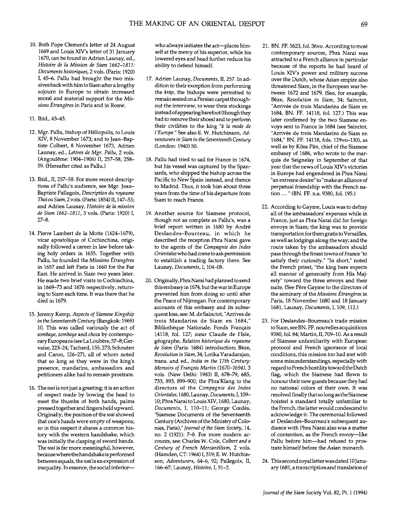- 10. Both Pope Clement's letter of 24 August 1669 and Louis XIV's letter of 31 January 1670, can be found in Adrien Launay, ed., Histoire *de la* Mission *de Siam 1662-1811: Documents historiques,* 2 vols. (Paris: 1920) I, 45-6. Pallu had brought the two missives back with him to Siam after a lengthy sojourn in Europe to obtain increased moral and material support for the Missions *Etrangeres* in Paris and in Rome.
- 11. Ibid., 43-45.
- 12. Mgr. Pallu, bishop of Heliopolis, to Louis XIV, 8 November 1673; and to Jean-Baptiste Colbert, 8 November 1673, Adrien Launay, ed., *Lettres de Mgr. Pallu,* 2 vols. (Angoulême: 1904-1906) II, 257-58, 258-59. (Hereafter cited as Pallu.)
- 13. Ibid., TI, 257-58. For more recent descriptions of Pallu's audience, see Mgr. Jean-Baptiste Pallegoix, *Description du royaume Thai ou Siam,2* vols. (Paris: 1854) TI, 147-53; and Adrien Launay, *Histoire de la mission de Siam 1662-1811,3* vols. (Paris: 1920) I, 27-8.
- 14. Pierre Lambert de la Motte (1624-1679), vicar apostolique of Cochinchina, originally followed a career in law before taking holy orders in 1655. Together with Pallu, he founded the *Missions Etrangeres*  in 1657 and left Paris in 1660 for the Far East. He arrived in Siam two years later. He made two brief visits to Cochinchina, in 1669-73 and 1676 respectively, returning to Siam each time. It was there that he died in 1679.
- 15. Jeremy Kemp, *Aspects of Siamese Kingship in the Seventeenth Century* (Bangkok: 1969) 10. This was called variously the act of *sombaye, zombaye* and *choca* by contemporary Europeans (see La Loubere, 57-8; Gervaise, 223-24; Tachard, 155, 273; Schouten and Caron, 126-27), all of whom noted that so long as they were in the king's presence, mandarins, ambassadors and petitioners alike had to remain prostrate.
- 16. The *wai* is not just a greeting; it is an action of respect made by bowing the head to meet the thumbs of both hands, palms pressed together and fingers held upward. Originally, the position of the *wai* showed that one's hands were empty of weapons; so in this respect it shares a common history with the western handshake, which was initially the clasping of sword hands. The *wai* is far more meaningful, however, because where the handshake is performed between equals, the *wai* is an expression of inequality. In essence, the social inferior-

who always initiates the act-places himself at the mercy of his superior, while his lowered eyes and head further reduce his ability to defend himself.

- 17. Adrien Launay, *Documents,* TI, 257. In addition to their exception from performing the *krap*, the bishops were permitted to remain seated on a Persian carpet throughout the interview, to wear their stockings instead of appearing barefoot (though they had to remove their shoes) and to perform their civilities to the king "à la mode de *l'Europe."* See also E. W. Hutchinson, *Adventurers* in *Siam in the Seventeenth Century*  (London: 1940) 50.
- 18. Pallu had tried to sail for France in 1674, but his vessel was captured by the Spaniards, who shipped the bishop across the Pacific to New Spain instead, and thence to Madrid. Thus, it took him about three years from the time of his departure from Siam to reach France.
- 19. Another source for Siamese protocol, though not as complete as Pallu's, was a brief report written in 1680 by Andre Deslandes-Bourreau, in which he described the reception Phra Narai gave to the agents of the *Compagnie des Indes*  Orientales who had come to ask permission to establish a trading factory there. See Launay, *Documents,* I, 104-08.
- 20. Originally, Phra Narai had planned to send this embassy in 1674, but the war in Europe prevented him from doing so until after the Peace of Nijmegan. For contemporary accounts of this embassy and its subsequent loss, see: M. de Sainctot, "Arrives de trois Mandarins de Siam en 1684," Bibliothèque Nationale, Fonds Français 14118, fol. 127; sieur Claude de l'Isle, geographe, *Relation historique du royaume de Siam* (Paris: 1684) introduction; Beze, *Revolution in Siam,* 34; Lotika Varadarajan, trans. and ed., *India* in *the 17th Century: Memoirs of Fram;ois Martin (1670-1694),* 3 vols. (New Delhi: 1983) TI, 678-79, 685, 733, 893, 899-900; the Phra'Klang to the directors of the *Compagnie des Indes Orientales,* 1680, Launay,Documents,l, 109- 10; Phra Narai to Louis XIV, 1680, Launay, Documents, I, 110-11; George Cœdès, "Siamese Documents of the Seventeenth Century (Archives of the Ministry of Colonies, Paris)," *Journal of the Siam Society,* 14, no. 2 (1921): 7-8. For more modern accounts, see: Charles W. Cole, *Colbert and a Century of French Mercantilism,* 2 vols. (Hamden, CT: 1964) I, 519; E. W. Hutchinson, *Adventurers,* 64-6, 92; Pallegoix, TI, 166-67; Launay, *Histoire,* I, 51-2.
- 21. BN. FF. 5623, fol. 36vo. According to most contemporary sources, Phra Narai was attracted to a French alliance in particular because of the reports he had heard of Louis XIV's power and military success over the Dutch, whose Asian empire also threatened Siam, in the European war between 1672 and 1679. (See, for example, Beze, *Revolution in Siam,* 34; Sainctot, "Arrivée de trois Mandarins de Siam en 1684, BN. FF. 14118, fol. 127.) This was later confirmed by the two Siamese envoys sent to France in 1684 (see Sainctot, "Arrivée de trois Mandarins de Siam en 1684," BN. FF. 14118, fols. 129vo-130), as well as by Kōsa Pān, chief of the Siamese embassy of 1686, who wrote to the marquis de Seignelay in September of that year that the news of Louis XIV's victories in Europe had engendered in Phra Narai "an extreme desire" to "make an alliance of perpetual friendship with the French nation ... " (BN. FF. n.a. 9380, fol. 195.)
- 22. According to Gayme, Louis was to defray all of the ambassadors' expenses while in France, just as Phra Narai did for foreign envoys in Siam; the king was to provide transportation for them gratis to Versailles, as well as lodgings along the way; and the route taken by the ambassadors should pass through the finest towns of France "to satisfy their curiosity." "In short," noted the French priest, "the king here expects all manner of generosity from His Majesty" toward the three envoys and their suite. (See Père Gayme to the directors of the seminary of the *Missions Etrangeres* in Paris, 18 November 1680 and 18 January 1681, Launay, *Documents,* I, 109, 112.)
- 23. For Deslandes-Bourreau's trade mission to Siam, see BN. FF. nouvelles acquisitions 9380, fol. 84; Martin, II, 709-10. As a result of Siamese unfamiliarity with European protocol and French ignorance of local conditions, this mission too had met with some misunderstandings, especially with regard to French hostility toward the Dutch flag, which the Siamese had flown to honour their new guests because they had no national colors of their own. It was resolved finally that so long as the Siamese hoisted a standard totally unfamiliar to the French, the latter would condescend to acknowledge it. The ceremonial followed at Deslandes-Bourreau's subsequent audience with Phra Narai also was a matter of contention, as the French envoy-like Pallu before him-had refused to prostrate himself before the Asian monarch.
- 24. Thissecondroyalletterwasdated 10January 1681, a transcription and translation of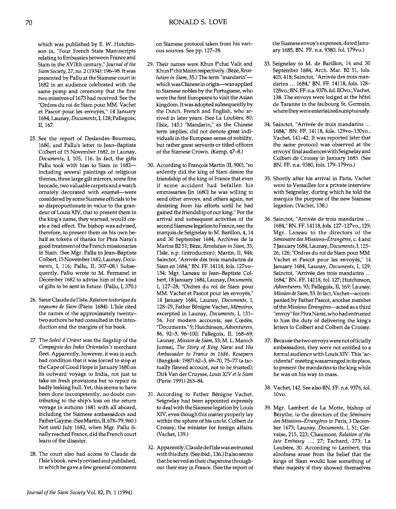which was published by E. W. Hutchinson in, "Four French State Manuscripts relating to Embassies between France and Siam in the XVIIth century," *Journal of the Siam Society,* 27, no. 2 (1934): 196-98. It was presented by Pallu at the Siamese court in 1682 in an audience celebrated with the same pomp and ceremony that the first two missives of 1673 had received. See the "Ordres du roi de Siam pour MM. Vachet et Pascot pour les envoyés," 14 January 1684, Launay, *Documents,!,* 128; Pallegoix, II, 167.

- 25. See the report of Deslandes-Bourreau, 1680, and Pallu's letter to Jean-Baptiste Colbert of 15 November 1682, in Launay, *Documents,* I, 105, 116. In fact, the gifts Pallu took with him to Siam in 1682including several paintings of religious themes, three large gilt mirrors, some fine brocade, two valuable carpets and a watch ornately decorated with enamel-were considered by some Siamese officials to be so disproportionate in value to the grandeur of Louis XIV, that to present them in the king's name, they warned, would create a bad effect. The bishop was advised, therefore, to present them on his own behalf as tokens of thanks for Phra Narai's good treatment of the French missionaries in Siam. (See Mgr. Pallu to Jean-Baptiste Colbert, 15November 1682, Launay, *Documents,* I, 116; Pallu, II, 307-08.) Subsequently, Pallu wrote to M. Fermanel in December 1682 to advise him of the kind of gifts to be sent in future. (Pallu, I, 370.)
- 26. SieurClaude de l'lsle, *Relation historique du royaume de Siam* (Paris: 1684). L'Isle cited the names of the approximately twentytwo authors he had consulted in the introduction and the margins of his book.
- 27. The *Solei! d'Orient* was the flagship of the *Compagnie des Indes Orientales's* merchant fleet. Apparently, however, it was in such bad condition that it was forced to stop at the Cape of Good Hope in January 1680 on its outward voyage to India, not just to take on fresh provisions but to repair its badly leaking hull. Yet, this seems to have been done incompetently, no doubt contributing to the ship's loss on the return voyage in autumn 1681 with all aboard, including the Siamese ambassadors and FatherGayme. (See Martin, II, 678-79, 960.) Not until July 1682, when Mgr. Pallu finally reached France, did the French court learn of the disaster.
- 28. The court also had access to Claude de l'Isle's book, newly revised and published, in which he gave a few general comments

on Siamese protocol taken from his various sources. See pp. 127-28.

- 29. Their names were Khun P'chai Valit and Khun P'chit Maitri respectively. (Bèze, Revo*lution in Siam,* 35.) The term "mandarin" which was Chinese in origin-was applied to Siamese nobles by the Portuguese, who were the first Europeans to visit the Asian kingdom. It was adopted subsequently by the Dutch, French and English, who arrived in later years. (See La Loubere, 80; l'Isle, 145.) "Mandarin," as the Chinese term implies, did not denote great individuals in the European sense of nobility, but rather great servants or titled officers of the Siamese Crown. (Kemp, 47-8.)
- 30. According to François Martin (II, 900), "so ardently did the king of Siam desire the friendship of the king of France that even if some accident had befallen his emmissaries [in 1680] he was willing to send other envoys, and others again, not desisting from his efforts until he had gained the friendship of our king." For the arrival and subsequent activities of the second Siamese legation to France, see: the marquis de Seignelay to M. Barillon, 4, 14 and 30 September 1684, Archives de la Marine B2 51; Beze, *Revolution in Siam,* 35; l'Isle, n.p. (introduction); Martin, II, 944; Sainctot, "Arrivée des trois mandarins de Siam en 1684," BN. FF. 14118, fols. 127vo-134; Mgr. Laneau to Jean-Baptiste Colbert, 18 January 1684, Launay, *Documents,*  I, 127-28; "Ordres du roi de Siam pour MM. Vachet et Pascot pour les envoyes," 14 January 1684, Launay, *Documents,* I, 128-29, Father Benigne Vachet, *Memoires,*  excerpted in Launay, *Documents,* I, 131- 56. For modern accounts, see Cœdès, "Documents," 9; Hutchinson, *Adventurers,*  86, 92-3, 96-100; Pallegoix, II, 168-69; *Launay,Mission de Siam,* 53; M. L. Manich Jumsai, *The Story of King Narai and His Ambassador to France in 1686, Kosaparn*  (Bangkok: 1987) 62-3,69-70,75-77 (a factually flawed account, not to be trusted); Dirk Vander Cruysse, *Louis XIV et le Siam*  (Paris: 1991) 263-84.
- 31. According to Father Benigne Vachet, Seignelay had been appointed expressly to deal with the Siamese legation by Louis XIV, even though this matter properly lay within the sphere of his uncle, Colbert de Croissy, the minister for foreign affairs. (Vachet, 139.)
- 32. Apparently, Claude de l'lslewas entrusted with this duty. (See ibid., 136.) It also seems that he served as their chaperone throughout their stay in France. (See the report of

theSiameseenvoy'sexpenses,datedJanuary 1685, BN. FF. n.a. 9380, fol. 179vo.)

- 33. Seignelay to M. de Barillon, 14 and 30 September 1684, Arch. Mar. B2 51, fols. 403, 418; Sainctot, "Arrivée des trois mandarins ... 1684," BN. FF. 14118, fols. 128- 128vo.; BN. FF. n.a. 9376,fol.ll0vo.; Vachet, 138. The envoys were lodged at the hôtel de Taranne in the faubourg St. Germain, where they were entertained sumptuously.
- 34. Sainctot, "Arrivée de trois mandarins ... 1684," BN. FF. 14118, fols. 129vo-130vo.; Vachet, 141-42. It was reported later that the same protocol was observed at the envoys' finalaudienceswithSeignelay and Colbert de Croissy in January 1685. (See BN. FF. n.a. 9380, fols. 179-179vo.)
- 35. Shortly after his arrival in Paris, Vachet went to Versailles for a private interview with Seignelay, during which he told the marquis the purpose of the new Siamese legation. (Vachet, 138.)
- 36. Sainctot, "Arrivée de trois mandarins ... 1684," BN. FF.14118,fols. 127-127vo., 129; Mgr. Laneau to the directors of the *Seminaire des Missions-Etrangeres,* c. 4 and 7January 1684, Launay, *Documents,* I, 125- 26, 126; "Ordres du roi de Siam pour MM. Vachet et Pascot pour les envoyes," 14 January 1684, Launay, *Documents,* I, 129; Sainctot, "Arrivée des trois mandarins ... 1684," BN. FF. 14118, fol. 127; Hutchinson, *Adventurers,* 93; Pallegoix, II, 169; Launay, Mission de Siam, 53. In fact, Vachet-accompanied by Father Pascot, another member of the *Missions Etrangeres-acted* as a third "envoy"forPhraNarai, who had entrusted to him the duty of delivering the king's letters to Colbert and Colbert de Croissy.
- 37. Because the two envoys were not officially ambassadors, they were not entitled to a formal audience with Louis XIV. This "accidental" meetingwasarrangedinits place, to present the mandarins to the king while he was on his way to mass.
- 38. Vachet, 142. See also BN. FF. n.a. 9376, fol. lOvo.
- 39. Mgr. Lambert de La Motte, bishop of Berythe, to the directors of the *Seminaire des Missions-Etrangeres* in Paris, 3 December 1673, Launay, *Documents,* I, 51; Gervaise, 215, 223; Chaumont, *Relation of the late Embassy ...,* 27; Tachard, 273; La Loubère, 30. According to Lambert, this aloofness arose from the belief that the kings of Siam would lose something of their majesty if they showed themselves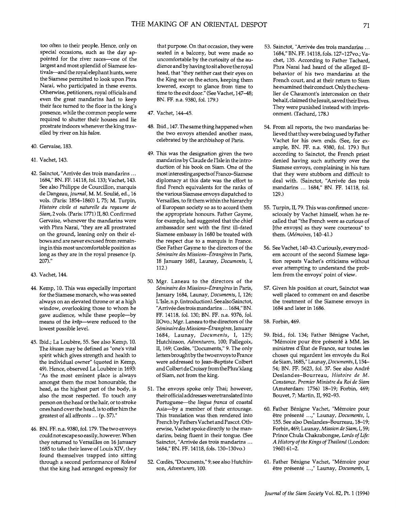too often to their people. Hence, only on special occasions, such as the day appointed for the river races-one of the largest and most splendid of Siamese festivals-and the royal elephant hunts, were the Siamese permitted to look upon Phra Narai, who participated in these events. Otherwise, petitioners, royal officials and even the great mandarins had to keep their face turned to the floor in the king's presence, while the common people were required to shutter their houses and lie prostrate indoors whenever the king travelled by river on his *baton.* 

- 40. Gervaise, 183.
- 41. Vachet, 143.
- 42. Sainctot, "Arrivée des trois mandarins ... 1684," BN. FF. 14118, fol. 133; Vachet, 143. See also Philippe de Courcillon, marquis de Dangeau, *Journal,* M. M. Soulie, ed., 16 vols. (Paris: 1854-1860) I, 75; M. Turpin, *Histoire civile et naturel/e du royaume de Siam,* 2 vols. (Paris: 1771) II, 80. Confirmed Gervaise, whenever the mandarins were with Phra Narai, "they are all prostrated on the ground, leaning only on their elbows and are never excused from remaining in this most uncomfortable position as long as they are in the royal presence (p. 207)."

#### 43. Vachet, 144.

- 44. Kemp, 10. This was especially important for the Siamese monarch, who was seated always on an elevated throne or at a high window, overlooking those to whom he gave audience, while these people-by means of the *krāp*-were reduced to the lowest possible level.
- 45. Ibid.; La Loubere, 55. See also Kemp, 10. The *khwan* may be defined as "one's vital spirit which gives strength and health to the individual owner" (quoted in Kemp, 49). Hence, observed La Loubere in 1693: "As the most eminent place is always amongst them the most honourable, the head, as the highest part of the body, is also the most respected. To touch any person on the head or the hair, or to stroke ones hand over the head, is to offer him the greatest of all affronts ... (p. 57)."
- 46. BN. FF. n.a. 9380, fol. 179. The two envoys could notescapeso easily, however. When they returned to Versailles on 16 January 1685 to take their leave of Louis XIV, they found themselves trapped into sitting through a second performance of *Roland*  that the king had arranged expressly for

that purpose. On that occasion, they were seated in a balcony, but were made so uncomfortable by the curiosity of the audience and by having to sit above the royal head, that "they neither cast their eyes on the King nor on the actors, keeping them lowered, except to glance from time to time to the exit door." (See Vachet, 147-48; BN. FF. n.a. 9380, foi. 179.)

- 47. Vachet, 144-45.
- 48. Ibid., 147. The same thing happened when the two envoys attended another mass, celebrated by the archbishop of Paris.
- 49. This was the designation given the two mandarins by Claude de !'Isle in the introduction of his book on Siam. One of the most interesting aspects of Franco-Siamese diplomacy at this date was the effort to find French equivalents for the ranks of the various Siamese envoys dispatched to Versailles, to fit them within the hierarchy of European society so as to accord them the appropriate honours. Father Gayme, for example, had suggested that the chief ambassador sent with the first ill-fated Siamese embassy in 1680 be treated with the respect due to a marquis in France. (See Father Gayme to the directors of the *Seminaire des Missions-Etrangeres* in Paris, 18 January 1681, Launay, *Documents,* I, 112.)
- 50. Mgr. Laneau to the directors of the *Seminaire des Missions-Etrangeres* in Paris, January 1684, Launay, *Documents,* I, 126; L'Isle, n.p. (introduction). See also Sainctot, "Arrivée des trois mandarins ... 1684," BN. FF. 14118, fol. 130; BN. FF. n.a. 9376, fol. llOvo.; Mgr. Laneau to the directors of the *Seminaire des Missions-Etrangeres,* January 1684, Launay, *Documents,* I, 125; Hutchinson, *Adventurers,* 100; Pallegoix, II, 169; Cœdès, "Documents," 9. The only letters brought by the two envoys to France were addressed to Jean-Baptiste Colbert and ColbertdeCroissy from the Phra'klang of Siam, not from the king.
- 51. The envoys spoke only Thai; however, their official addresses were translated into Portuguese-the *lingua franca* of coastal Asia-by a member of their entourage. This translation was then rendered into French by Fathers Vachet and Pascot. Otherwise, Vachet spoke directly to the mandarins, being fluent in their tongue. (See Sainctot, "Arrivée des trois mandarins ... 1684," BN. FF. 14118, fols. 130-130vo.)
- 52. Cœdès, "Documents," 9; see also Hutchinson, *Adventurers,* 100.
- 53. Sainctot, "Arrivée des trois mandarins ... 1684," BN. FF. 14118, fols. 127-127vo.; Vachet, 135. According to Father Tachard, Phra Narai had heard of the alleged illbehavior of his two mandarins at the French court, and at their return to Siam he examined their conduct. Only the chevalier de Chaumont's intercession on their behalf, claimed the Jesuit, saved their lives. They were punished instead with imprisonment. (Tachard, 178.)
- 54. From all reports, the two mandarins believed that they were being used by Father Vachet for his own ends. (See, for example, BN. FF. n.a. 9380, fol. 179.) But according to Sainctot, the French priest denied having such authority over the Siamese envoys, complaining in his tum that they were stubborn and difficult to deal with. (Sainctot, "Arrivée des trois mandarins ... 1684," BN. FF. 14118, fol. 129.)
- 55. Turpin, II, 79. This was confirmed unconsciously by Vachet himself, when herecalled that "the French were as curious of [the envoys] as they were courteous" to them. *(Memoires,* 140-41.)
- 56. See Vachet, 140-43.Curiously,everymodem account of the second Siamese legation repeats Vachet's criticisms without ever attempting to understand the problem from the envoys' point of view.
- 57. Given his position at court, Sainctot was well placed to comment on and describe the treatment of the Siamese envoys in 1684 and later in 1686.

#### 58. Forbin, 469.

- 59. Ibid., fol. 134; Father Bénigne Vachet, "Mémoire pour être présenté à MM. les ministres d'Etat de France, sur toutes les choses qui regardent les envoyés du Roi de Siam, 1685," Launay, *Documents,* I, 154- 54; BN. FF. 5623, foi. 37. See also Andre Deslandes-Bourreau, *Histoire de M. Constance, Premier Ministre du Roi de Siam*  (Amsterdam: 1756) 18-19; Forbin, 469; Bouvet, 7; Martin, II, 992-93.
- 60. Father Benigne Vachet, "Memoire pour etre present€ ... ," Launay, *Documents,* I, 155. See also Deslandes-Bourreau, 18-19; Forbin, 469; Launay, *Mission de Siam,* I, 59; Prince Chula Chakrabongse, *Lords of Life: A History of the Kings of Thailand* (London: 1960) 61-2.
- 61. Father Benigne Vachet, "Memoire pour etre presente ... ," Launay, *Documents,* I,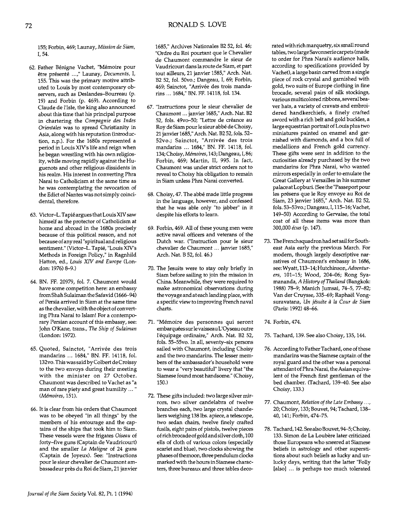155; Forbin, 469; Launay, Mission *de Siam,*  I, 54.

- 62. Father Benigne Vachet, "Memoire pour être présenté ...," Launay, *Documents*, I, 155. This was the primary motive attributed to Louis by most contemporary observers, such as Deslandes-Bourreau (p. 19) and Forbin (p. 469). According to Claude de !'Isle, the king also announced about this time that his principal purpose in chartering the *Compagnie des Indes Orientales* was to spread Christianity in Asia, along with his reputation (introduction, n.p.). For the 1680s represented a period in Louis XIV's life and reign when he began wrestling with his own religiosity, while moving rapidly against the Huguenots and other religious dissidents in his realm. His interest in converting Phra Narai to Catholicism at the same time as he was contemplating the revocation of the Edict of Nantes was not simply coincidental, therefore.
- 63. Victor-L. Tapie argues that Louis XIV saw himself as the protector of Catholicism at home and abroad in the 1680s precisely because of this political reason, and not because of any real "spiritual and religious sentiment." (Victor-L. Tapie, "Louis XIV's Methods in Foreign Policy," in Ragnhild Hatton, ed., *Louis XIV and Europe* (London: 1976) 8-9.)
- 64. BN. FF. 20979, fol. 7. Chaumont would have some competition here: an embassy from Shah Sulaiman the Safavid (1666-94) of Persia arrived in Siam at the same time as the chevalier, with the object of converting Phra Narai to Islam! For a contemporary Persian account of this embassy, see: John O'Kane, trans., *The Ship of Sulaiman*  (London: 1972).
- 65. Quoted, Sainctot, "Arrivée des trois mandarins ... 1684," BN. FF. 14118, fol. 132vo. This was said by Colbert de Croissy to the two envoys during their meeting with the minister on 27 October. Chaumont was described to Vachet as "a man of rare piety and great humility ... " *(Memoires,* 151).
- 66. It is clear from his orders that Chaumont was to be obeyed "in all things" by the members of his entourage and the captains of the ships that took him to Siam. These vessels were the frigates *Oiseau* of forty-five guns (Captain de Vaudricourt) and the smaller *La Maligne* of 24 guns (Captain de Joyeux). See: "Instructions pour le sieur chevalier de Chaumont ambassadeur pres du Roi de Siam, 21 janvier

1685," Archives Nationales B2 52, fol. 46; "Ordre du Roi pourtant que le Chevalier de Chaumont commandre le sieur de Vaudricourt dans Ia route de Siam, et part tout ailleurs, 21 janvier 1585," Arch. Nat. B2 52, fol. 50vo.; Dangeau, I, 69; Forbin, 469; Sainctot, "Arrivée des trois mandarins ... 1684," BN. FF. 14118, fol. 134.

- 67. "Instructions pour le sieur chevalier de Chaumont ... janvier 1685," Arch. Nat. B2 52, fols. 49vo-50; "Lettre de creance au Roy de Siam pour le sieur abbe de Choisy, 21 janvier 1685," Arch. Nat. B2 52, fols. 52- 52vo.; Sainctot, "Arrivée des trois mandarins ... 1684," BN. FF. 14118, fol. 134; Choisy, Mémoires, 143; Dangeau, I, 86; Forbin, 469; Martin, II, 995. In fact, Chaumont was under strict orders not to reveal to Choisy his obligation to remain in Siam unless Phra Narai converted.
- 68. Choisy, 47. The abbe made little progress in the language, however, and confessed that he was able only "to jabber" in it despite his efforts to learn.
- 69. Forbin, 469. All of these young men were active naval officers and veterans of the Dutch war. ("Instruction pour le sieur chevalier de Chaumont ... janvier 1685," Arch. Nat. B 52, fol. 46.)
- 70. The Jesuits were to stay only briefly in Siam before sailing to join the mission in China. Meanwhile, they were required to make astronomical observations during the voyage and at each landing place, with a specific view to improving French naval charts.
- 71. "Memoire des personnes qui seront embarquees sur levaisseau L'Oyseau outre !'equipage ordinaire," Arch. Nat. B2 52, fols. 55-55vo. In all, seventy-six persons sailed with Chaumont, including Choisy and the two mandarins. The lesser members of the ambassador's household were to wear a "very beautiful" livery that "the Siamese found most handsome." (Choisy, 150.)
- 72. These gifts included: two large silver mirrors, two silver candelabra of twelve branches each, two large crystal chandeliers weighing 138lbs. apiece, a telescope, two sedan chairs, twelve finely crafted fusils, eight pairs of pistols, twelve pieces of rich brocade of gold and silver cloth, 100 ells of cloth of various colors (especially scarlet and blue), two clocks showing the phases of the moon, three pendulum clocks marked with the hours in Siamese characters, three bureaux and three tables deco-

rated with rich marquetry, six small round tables, two largeSavonnerie carpets (made to order for Phra Narai's audience halls, according to specifications provided by Vachet), a large basin carved from a single piece of rock crystal and garnished with gold, two suits of Europe clothing in fine brocade, several pairs of silk stockings, various multicolored ribbons, several beaver hats, a variety of cravats and embroidered handkerchiefs, a finely crafted sword with a rich belt and gold buckles, a large equestrian portrait of Louis plus two miniatures painted on enamel and garnished with diamonds, and a box full of medallions and French gold currency. These gifts were sent in addition to the curiosities already purchased by the two mandarins for Phra Narai, who wanted mirrors especially in order to emulate the Great Gallery at Versailles in his summer palace at Lopburi. (See the "Passeport pour les présens que le Roy envoye au Roi de Siam, 23 janvier 1685," Arch. Nat. B2 52, fols. 53-53vo.; Dangeau, I, 115-16; Vachet, 149-50) According to Gervaise, the total cost of all these items was more than 300,000 *ecus* (p. 147).

- 73. The French squadron had set sail for Southeast Asia early the previous March. For modem, though largely descriptive narratives of Chaumont's embassy in 1686, see: Wyatt, 113-14; Hutchinson, *Adventurers,* 101-15; Wood, 204-06; Rong Syamananda, *A* History *of Thailand* (Bangkok: 1988) 78-9; Manich Jumsai, 74-5, 77-82; Vander Cruysse, 335-69; Raphael Vongsuravatana, *Un jésuite à la Cour de Siam* (Paris: 1992) 48-66.
- 74. Forbin, 474.
- 75. Tachard, 139. See also Choisy, 135, 144.
- 76. According to Father Tachard, one of these mandarins was the Siamese captain of the royal guard and the other was a personal attendantofPhra Narai, the Asian equivalent of the French first gentleman of the bed chamber. (Tachard, 139-40. See also Choisy, 133.)
- 77. Chaumont, *Relation of the Late Embassy ... ,*  20; Choisy, 133; Bouvet, 94; Tachard, 138- 40, 141; Forbin, 474-75.
- 78. Tachard, 142. See also Bouvet, 94-5;Choisy, 133. Simon de La Loubere later criticized those Europeans who sneered at Siamese beliefs in astrology and other superstitions about such beliefs as lucky and unlucky days, writing that the latter "Folly [also] ... is perhaps too much tolerated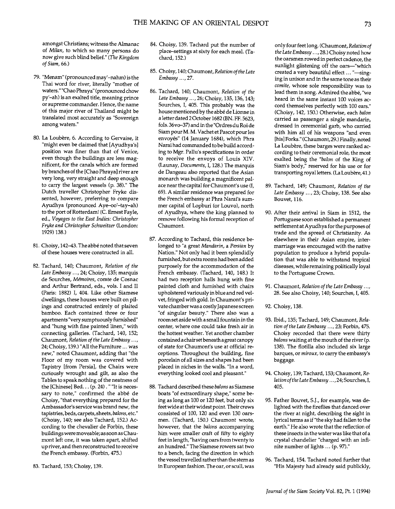amongst Christians; witness the Almanac of *Milan,* to which so many persons do now give such blind belief." *(The Kingdom of Siam,* 66.)

- 79. "Menam" (pronounced may'-nahm) is the Thai word for river, literally "mother of waters." "Chao Phraya" (pronounced chow py'-ah) is an exalted title, meaning prince or supreme commander. Hence, the name of this major river of Thailand might be translated most accurately as "Sovereign among waters."
- 80. La Loubere, 6. According to Gervaise, it "might even be claimed that [Ayudhya's] position was finer than that of Venice, even though the buildings are less magnificent, for the canals which are formed by branches of the [Chao Phraya] river are very long, very straight and deep enough to carry the largest vessels (p. 38)." The Dutch traveller Christopher Fryke dissented, however, preferring to compare Ayudhya (pronounced Aye-oo'-tay-ah) to the port of Rotterdam! (C. Ernest Fayle, ed., *Voyages to the East Indies: Christopher Fryke and Christopher Schweitzer* (London: 1929) 138.)
- 81. Choisy, 142-43. The abbé noted that seven of these houses were constructed in all.
- 82. Tachard, 140; Chaumont, *Relation of the Late Embassy ... ,* 24; Choisy, 135; marquis de Sourches, *Memoires,* comte de Cosnac and Arthur Bertrand, eds., vols. I and II (Paris: 1882) I, 404. Like other Siamese dwellings, these houses were built on pilings and constructed entirely of plaited bamboo. Each contained three or four apartments "very sumptuously furnished" and "hung with fine painted linen," with connecting galleries. (Tachard, 140, 152; Chaumont, *Relation of the Late Embassy ... ,*  24; Choisy, 139.) "All the Furniture ... was new," noted Chaumont, adding that "the Floor of my room was covered with Tapistry [from Persia], the Chairs were curiously wrought and gilt, as also the Tables to speak nothing of the neatness of the [Chinese] Bed.  $\ldots$  (p. 24) . " "It is necessary to note," confirmed the abbe de Choisy, "that everything prepared for the Ambassador's service was brand new, the tapis tries, beds, carpets, sheets, *balons,* etc." (Choisy, 140; see also Tachard, 152.) According to the chevalier de Forbin, these buildings were moveable; as soon as Chaumont left one, it was taken apart, shifted up river, and then reconstructed to receive the French embassy. (Forbin, 475.)
- 83. Tachard, 153; Choisy, 139.
- 84. Choisy, 139. Tachard put the number of place-settings at sixty for each meal. (Tachard, 152.)
- 85. Choisy, *140;Chaumont,RelationoftheLate Embassy ... ,* 27.
- 86. Tachard, 140; Chaumont, *Relation of the*  Late Embassy ..., 26; Choisy, 135, 136, 143; Sourches, I, 405. This probably was the house mentioned by the abbe de Lionne in a letter dated 2 October 1682 (BN. FF. 5623, fols. 36vo-37) and in the "Ordres du Roi de Siam pour M. M. Vachet et Pascot pour les envoyés" (14 January 1684), which Phra Narai had commanded to be build according to Mgr. Pallu's specifications in order to receive the envoys of Louis XIV. (Launay, *Documents,* I, 128.) The marquis de Dangeau also reported that the Asian monarch was building a magnificent palace near the capital for Chaumont's use (1, 69). A similar residence was prepared for the French embassy at Phra Narai's summer capital of Lopburi (or Louvo), north of Ayudhya, where the king planned to remove following his formal reception of Chaumont.
- 87. According to Tachard, this residence belonged to "a great *Mandarin,* a *Persian* by Nation." Not only had it been splendidly furnished, but extra rooms had been added purposely for the accommodation of the French embassy. (Tachard, 140, 148.) It had two reception halls hung with fine painted cloth and furnished with chairs upholstered variously in blue and red velvet, fringed with gold. In Chaumont's private chamber was a costly Japanese screen "of singular beauty." There also was a room set aside with a small fountain in the center, where one could take fresh air in the hottest weather. Yet another chamber containedachairsetbeneathagreatcanopy of state for Chaumont's use at official receptions. Throughout the building, fine porcelain of all sizes and shapes had been placed in niches in the walls. "In a word, everything looked cool and pleasant."
- 88. Tachard described these *balons* as Siamese boats "of extraordinary shape," some being as long as 100 or 120 feet, but only six feet wide at their widest point. Their crews consisted of 100, 120 and even 130 oarsmen. (Tachard, 150.) Chaumont wrote, however, that the *balons* accompanying him were smaller craft of fifty to eighty feet in length, "having oars from twenty to an hundred." The Siamese rowers sat two to a bench, facing the direction in which the vessel travelled rather than the stern as in European fashion. The oar, or scull, was

only four feet long. (Chaumont, *Relation of the Late Embassy* ... , 28.) Choisy noted how the oarsmen rowed in perfect cadence, the sunlight glistening off the oars-"which created a very beautiful effect ... "-singing in unison and in the same tone as their *comite,* whose sole responsibility was to lead them in song. Admired the abbé, "we heard in the same instant 100 voices accord themselves perfectly with 100 ears." (Choisy, 142, 150.) Otherwise, each *balon*  carried as passenger a single mandarin, dressed in ceremonial garb, who carried with him all of his weapons "and even [his] Forks." (Chaumont,29.) Finally, noted La Loubere, these barges were ranked according to their ceremonial role, the most exalted being the *"balon* of the King of Siam's body," reserved for his use or for transporting royal letters. (La Loubere, 41.)

- 89. Tachard, 149; Chaumont, *Relation of the*  Late Embassy ..., 23; Choisy, 138. See also Bouvet, 116.
- 90. After their arrival in Siam in 1512, the Portuguese soon established a permanent settlement at Ayudhya for the purposes of trade and the spread of Christianity. As elsewhere in their Asian empire, intermarriage was encouraged with the native population to produce a hybrid population that was able to withstand tropical diseases, while remaining politically loyal to the Portuguese Crown.
- 91. Chaumont, *Relation of the Late Embassy ... ,*  28. See also Choisy, 140; Sourches, I, 405.
- 92. Choisy, 138.
- 93. Ibid., 135; Tachard, 149; Chaumont, *Relation of the Late Embassy ... ,* 23; Forbin, 475. Choisy recorded that there were thirty *balons* waiting at the mouth of the river (p. 138). The flotilla also included six large barques, or *miroux,* to carry the embassy's baggage.
- 94. Choisy, 139; Tachard, 153; Chaumont, *Relation of the Late Embassy* ... , 24; Sourches, I, 405.
- 95. Father Bouvet, S.J., for example, was delighted with the fireflies that danced over the river at night, describing the sight in lyrical terms as if "the sky had fallen to the earth." He also wrote that the reflection of these insects in the water was like that of a crystal chandelier "charged with an infinite number of lights ... (p. 97)."
- 96. Tachard, 154. Tachard noted further that "His Majesty had already said publickly,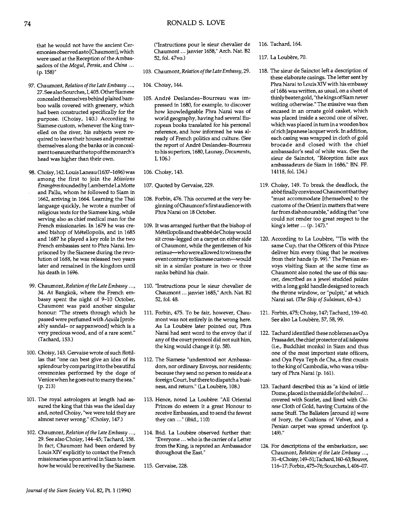that he would not have the ancient Ceremonies observed as to [Chaumont], which were used at the Reception of the Ambassadors of the *Mogul, Persia,* and *China* ... (p. 158)"

- 97. Chaumont, *Relation of the Late Embassy* ..., 27. See also Sourches, 1,405. Other Siamese concealed themselves behind plaited bamboo walls covered with greenery, which had been constructed specifically for the purpose. (Choisy, 140.) According to Siamese custom, whenever the king travelled on the river, his subjects were required to leave their houses and prostrate themselves along the banks or in concealment to ensure that the top of the monarch's head was higher than their own.
- 98. Choisy, 142. Louis Laneau (1637-1696) was among the first to join the *Missions Etrangeres* founded by Lambert de La Motte and Pallu, whom he followed to Siam in 1662, arriving in 1664. Learning the Thai language quickly, he wrote a number of religious texts for the Siamese king, while serving also as chief medical man for the French missionaries. In 1679 he was created bishop of Metellopolis, and in 1685 and 1687 he played a key role in the two French embassies sent to Phra Narai. Imprisoned by the Siamese during the revolution of 1688, he was released two years later and remained in the kingdom until his death in 1696.
- 99. Chaumont, *Relation of the Late Embassy* ..., 34. At Bangkok, where the French embassy spent the night of 9-10 October, Chaumont was paid another singular honour: "The streets through which he passed were perfumed with *Aquila* [probably sandal- or sappanwood] which is a very precious wood, and of a rare scent." (Tachard, 153.)
- 100. Choisy, 143. Gervaise wrote of such flotillas that "one can best give an idea of its splendour by comparing it to the beautiful ceremonies performed by the doge of Venice when he goes out to marry the sea." (p. 213)
- 101. The royal astrologers at length had assured the king that this was the ideal day and, noted Choisy, "we were told they are almost never wrong." (Choisy, 147.)
- 102. Chaumont, *Relation of the Late Embassy ... ,*  29. See also Choisy, 144-45; Tachard, 158. In fact, Chaumont had been ordered by Louis *XN* explicitly to contact the French missionaries upon arrival in Siam to learn how he would be received by the Siamese.

("Instructions pour le sieur chevalier de Chaumont ... janvier 1658," Arch. Nat. B2 52, fol. 47vo.)

- 103. Chaumont, *Relation of the Late Embassy,* 29.
- 104. Choisy, 144.
- 105. Andre Deslandes-Bourreau was impressed in 1680, for example, to discover how knowledgeable Phra Narai was of world geography, having had several European books translated for his personal reference, and how informed he was already of French politics and culture. (See the report of Andre Deslandes-Bourreau to his superiors, 1680, Launay, *Documents,*  I, 106.)
- 106. Choisy, 143.
- 107. Quoted by Gervaise, 229.
- 108. Forbin, 476. This occurred at the very beginningofChaumont'sfirstaudiencewith Phra Narai on 18 October.
- 109. It was arranged further that the bishop of Metellopolis and the abbedeChoisywould sit cross-legged on a carpet on either side of Chaumont, while the gentlemen of his retinue-who were allowed to witness the event contrary to Siamese custom-would sit in a similar posture in two or three ranks behind his chair.
- 110. "Instructions pour le sieur chevalier de Chaumont ... janvier 1685," Arch. Nat. B2 52, fol. 48.
- 111. Forbin, 475. To be fair, however, Chaumont was not entirely in the wrong here. As La Loubere later pointed out, Phra Narai had sent word to the envoy that if any of the court protocol did not suit him, the king would change it (p. 58).
- 112. The Siamese "understood not Ambassadors, nor ordinary Envoys, nor residents; because they send no person to reside at a foreign Court, but there to dispatch a business, and return." (La Loubere, 108.)
- 113. Hence, noted La Loubere: "All Oriental Princes do esteem it a great Honour to receive Embassies, and to send the fewest they can ... " (ibid., 110)
- 114. Ibid. La Loubere observed further that: "Everyone ... who is the carrier of a Letter from the King, is reputed an Ambassador throughout the East."
- 115. Gervaise, 228.

116. Tachard, 164.

117. La Loubere, 70.

- 118. The sieur de Sainctot left a description of these elaborate casings. The letter sent by Phra Narai to Louis *XN* with his embassy of 1686 was written, as usual, on a sheet of thinly beaten gold, "the kings of Siam never writing otherwise." The missive was then encased in an ornate gold casket, which was placed inside a second one of silver, which was placed in turn in a wooden box of rich Japanese lacquer work. In addition, each casing was wrapped in cloth of gold brocade and closed with the chief ambassador's seal of white wax. (See the sieur de Sainctot, "Reception faite aux ambassadeurs de Siam in 1686," BN. FF. 14118, fol. 134.)
- 119. Choisy, 149. To break the deadlock, the abbé finally convinced Chaumont that they "must accommodate [themselves] to the customs of the Orient in matters that were far from dishonourable," adding that "one could not render too great respect to the king's letter ... (p. 147)."
- 120. According to La Loubere, "'Tis with the same Cup, that the Officers of this Prince deliver him every thing that he receives from their hands (p. 99)." The Persian envoys visiting Siam at the same time as Chaumont also noted the use of this saucer, described as a jewel studded *paidan*  with a long gold handle designed to reach the throne window, or "pulpit," at which Narai sat. *(The Ship of Sulaiman,* 63-4.)
- 121. Forbin, 475; Choisy, 147; Tachard, 159-60. See also La Loubère, 57, 58, 99.
- 122. Tachard identified these noblemen as Oya Prassadet, the chief protector of all *talapoins*  (i.e., Buddhist monks) in Siam and thus one of the most important state officers, and Oya Peya Teph de Cha, a first cousin to the king of Cambodia, who was a tributary of Phra Narai (p. 161).
- 123. Tachard described this as "a kind of little Dome, placed in the middle *[ofthebalon] ...*  covered with Scarlet, and lined with *Chinese* Cloth of Gold, having Curtains of the same Stuff. The Balisters [around it] were of Ivory, the Cushions of Velvet, and a Persian carpet was spread underfoot (p. 149)."
- 124. For descriptions of the embarkation, see: Chaumont, *Relation of the Late Embassy* ... , 31-4;Choisy,149-51;Tachard,160-63;Bouvet, 116-17;Forbin,475-76;Sourches, 1,406-07.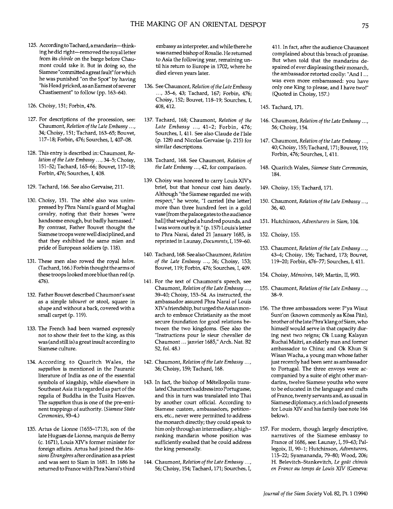- 125. According to Tachard, a mandarin-thinking he did right-removed the royal letter from its *chirole* on the barge before Chaumont could take it. But in doing so, the Siamese "committed a great fault" for which he was punished "on the Spot" by having "his Head pricked, as an Earnest of severer Chastisement" to follow (pp. 163-64).
- 126. Choisy, 151; Forbin, 476.
- 127. For descriptions of the procession, see: Chaumont, *Relation of the Late Embassy* ... , 34; Choisy, 151; Tachard, 163-65; Bouvet, 117-18; Forbin, 476; Sourches, I, 407-08.
- 128. This entry is described in: Chaumont, *Relation of the Late Embassy* ... , 34-5; Choisy, 151-52; Tachard, 165-66; Bouvet, 117-18; Forbin, 476; Sourches, I, 408.
- 129. Tachard, 166. See also Gervaise, 211.
- 130. Choisy, 151. The abbé also was unimpressed by Phra Narai's guard of Mughal cavalry, noting that their horses "were handsome enough, but badly harnassed." By contrast, Father Bouvet thought the Siamese troops were well disciplined, and that they exhibited the same mien and pride of European soldiers (p. 118).
- 131. These men also rowed the royal *baton.*  (Tachard, 166.) Forbin thought the arms of these troops looked more blue than red (p. 476).
- 132. Father Bouvet described Chaumont's seat as a simple *tabouret* or stool, square in shape and without a back, covered with a small carpet (p. 119).
- 133. The French had been warned expressly not to show their feet to the king, as this was (and still is) a great insult according to Siamese culture.
- 134. According to Quaritch Wales, the *suppathon* is mentioned in the Pauranic literature of India as one of the essential symbols of kingship, while elsewhere in Southeast Asia it is regarded as part of the regalia of Buddha in the Tusita Heaven. The *suppathon* thus is one of the pre-eminent trappings of authority. *(Siamese State Ceremonies,* 93-4.)
- 135. Artus de Lionne (1655-1713), son of the late Hugues de Lionne, marquis de Berny (c. 1671), Louis XIV's former minister for foreign affairs. Artus had joined the Mis*sions Etrangeres* after ordination as a priest and was sent to Siam in 1681. In 1686 he returned to France with Phra Narai's third

embassy as interpreter, and while there he was named bishop of Rosalie. He returned to Asia the following year, remaining until his return to Europe in 1702, where he died eleven years later.

- 136. See Chaumont, *Relation of the Late Embassy*  ..., 35-6, 43; Tachard, 167; Forbin, 476; Choisy, 152; Bouvet, 118-19; Sourches, I, 408,412.
- 137. Tachard, 168; Chaumont, *Relation of the*  Late Embassy ..., 41-2; Forbin, 476; Sourches, I, 411. See also Claude de l'Isle (p. 128) and Nicolas Gervaise (p. 215) for similar descriptions.
- 138. Tachard, 168. See Chaumont, *Relation of the Late Embassy ... ,* 42, for comparison.
- 139. Choisy was honored to carry Louis XIV's brief, but that honour cost him dearly. Although "the Siamese regarded me with respect," he wrote, "I carried [the letter) more than three hundred feet in a gold vase [from the palace gates to the audience hall) that weighed a hundred pounds, and I was worn out by it." (p. 157) Louis's letter to Phra Narai, dated 21 January 1685, is reprinted in Launay, *Documents,* I, 159-60.
- 140. Tachard, 168. See also Chaumont, Relation of the Late Embassy ..., 36; Choisy, 153; Bouvet, 119; Forbin, 476; Sourches, I, 409.
- 141. For the text of Chaumont's speech, see Chaumont, *Relation of the Late Embassy* ... , 39-40; Choisy, 153-54. As instructed, the ambassador assured Phra Narai of Louis XIV'sfriendship,buturgedtheAsianmonarch to embrace Christianity as the most secure foundation for good relations between the two kingdoms. (See also the "Instructions pour le sieur chevalier de Chaumont ... janvier 1685," Arch. Nat. B2 52, fol. 48.)
- 142. Chaumont, *Relation of the Late Embassy ... ,*  36; Choisy, 159; Tachard, 168.
- 143. In fact, the bishop of Métellopolis translated Chaumont's address into Portuguese, and this in turn was translated into Thai by another court official. According to Siamese custom, ambassadors, petitioners, etc., never were permitted to address the monarch directly; they could speak to him only through an intermediary, a highranking mandarin whose position was sufficiently exalted that he could address the king personally.
- 144. Chaumont, *Relation of the Late Embassy ... ,*  56; Choisy, 154; Tachard, 171; Sourches, I,

411. In fact, after the audience Chaumont complained about this breach of promise. But when told that the mandarins despaired of ever displeasing their monarch, the ambassador retorted coolly: "And I... was even more embarrassed: you have only one King to please, and I have two!" (Quoted in Choisy, 157.)

- 145. Tachard, 171.
- 146. Chaumont, *Relation of the Late Embassy ... ,*  56; Choisy, 154.
- 147. Chaumont, *Relation of the Late Embassy ... ,*  40; Choisy, 155; Tachard, 171; Bouvet, 119; Forbin, 476; Sourches, I, 411.
- 148. Quaritch Wales, *Siamese State Ceremonies,*  184.
- 149. Choisy, 155; Tachard, 171.
- 150. Chaumont, *Relation of the Late Embassy* ..., 36,40.
- 151. Hutchinson, *Adventurers in Siam,* 104.
- 152. Choisy, 155.
- 153. Chaumont, *Relation of the Late Embassy* ..., 43-4; Choisy, 156; Tachard, 173; Bouvet, 119-20; Forbin, 476-77; Sourches, I, 411.
- 154. Choisy, *Memoires,* 149; Martin, II, 993.
- 155. Chaumont, *Relation of the Late Embassy* ... , 38-9.
- 156. The three ambassadors were: P'ya Wisut Sunt'on (known commonly as Kōsa Pān), brother of the late Phra'klang of Siam, who himself would serve in that capacity during next two reigns; Ok Luang Kalayan Ruchai Maitri, an elderly man and former ambassador to China; and Ok Khun Si Wisan Wacha, a young man whose father just recently had been sent as ambassador to Portugal. The three envoys were accompanied by a suite of eight other mandarins, twelve Siamese youths who were to be educated in the language and crafts of France, twenty servants and, as usual in Siamese diplomacy, a rich load of presents for Louis XIV and his family (see note 166 below).
- 157. For modern, though largely descriptive, narratives of the Siamese embassy to France of 1686, see: Launay, I, 59-63; Pallegoix, II, 90-1; Hutchinson, *Adventurers,*  115-22; Syamananda, 79-80; Wood, 206; H. Belevitch-Stankevitch, *Le gout chinois en France au temps de Louis XIV* (Geneva: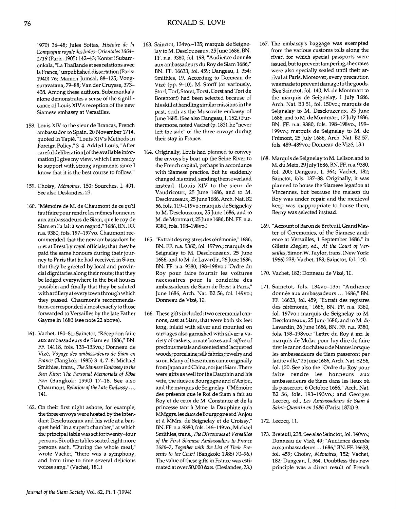1970) 36-48; Jules Sottas, Histoire de la *Compagnie royale des Indes-Orientales 1664-* 1719 (Paris: 1905) 142-43; Kontsri Subamonkala, "La Thailande et ses relations avec Ia France," unpublished dissertation (Paris: 1940) 76; Manich Jumsai, 88-125; Vongsuravatana, 79-88; Vander Cruysse, 373- 408. Among these authors, Subamonkala alone demonstrates a sense of the significance of Louis XIV's reception of the new Siamese embassy at Versailles.

- 158. Louis XIV to the sieur de Brancas, French ambassador to Spain, 20 November 1714, quoted in Tapié, "Louis XIV's Methods in Foreign Policy," 3-4. Added Louis, "After careful deliberation [of the available information] I give my view, which I am ready to support with strong arguments since I know that it is the best course to follow."
- 159. Choisy, *Memoires,* 150; Sourches, I, 401. See also Deslandes, 23.
- 160. "Memoire de M. de Chaumont de ce qu'il faut faire pour rendre les mêmes honneurs aux ambassadeurs de Siam, que leroy de Siam en l'a fait à son regard," 1686, BN. FF. n.a. 9380, fols. 197-197vo. Chaumont recommended that the new ambassadors be met at Brest by royal officials; that they be paid the same honours during their journey to Paris that he had received in Siam; that they be greeted by local and provincial dignitaries along their route; that they be lodged everywhere in the best houses possible; and finally that they be saluted with artillery at every town through which they passed. Chaumont's recommendations corresponded almost exactly to those forwarded to Versailles by the late Father Gayme in 1680 (see note 22 above).
- 161. Vachet, 180-81; Sainctot, "Reception faite aux ambassadeurs de Siam en 1686," BN. FF. 14118, fols. 133-133vo.; Donneau de Vize, *Voyage des ambassadeurs de Siam en France* (Bangkok: 1985) 3-4, 7-8; Michael Smithies, trans., *The Siamese Embassy to the Sun King: The Personal Memorials of Kosa Piin* (Bangkok: 1990) 17-18. See also Chaumont, *Relation of the Late Embassy ... ,*  141.
- 162. On their first night ashore, for example, the three envoys were hosted by the intendant Desclouzeaux and his wife at a banquet held "in a superb chamber," at which the principal table was set for twenty-four persons. Six other tables seated eight more persons each. "During the whole meal," wrote Vachet, "there was a symphony, and from time to time several delicious voices sang." (Vachet, 181.)
- 163. Sainctot, 134vo.-135; marquis de Seignelay to M. Desclouzeaux, 25 June 1686, BN. FF. n.a. 9380, fol. 198; "Audience donnee aux ambassadeurs du Roy de Siam 1686," BN. FF. 16633, fol. 459; Dangeau, I, 354; Smithies, 19. According to Donneau de Vize (pp. 9-10), M. Storff (or variously, Storf, Torf, Storst, Torst, Corst and Tort de Botentorf) had been selected because of his skill at handling similar missions in the past, such as the Muscovite embassy of June 1685. (See also Dangeau, I, 152.) Furthermore, noted Vachet (p. 183), he "never left the side" of the three envoys during their stay in France.
- 164. Originally, Louis had planned to convey the envoys by boat up the Seine River to the French capital, perhaps in accordance with Siamese practice. But he suddenly changed his mind, sending them overland instead. (Louis XIV to the sieur de Vaudricourt, 25 June 1686, and to M. Desclouzeaux, 25 June 1686, Arch. Nat. B2 56, fols. 119-119vo.; marquis de Seignelay toM. Desclouzeaux, 25 June 1686, and to M.deMontmart,25June1686,BN.FF.n.a. 9380, fols. 198-198vo.)
- 165. "Extrait des registres des cérémonie," 1686, BN. FF. n.a. 9380, fol. 197vo.; marquis de Seignelay to M. Desclouzeaux, 25 June 1686, and to M. de Lavardin, 26 June 1686, BN. FF. n.a. 9380, 198-198vo.; "Ordre du Roy pour faire fournir les voitures necessaires pour la conduite des ambassadeurs de Siam de Brest a Paris," June 1686, Arch. Nat. B2 56, fol. 149vo.; Donneau de Vize, 10.
- 166. These gifts included: two ceremonial cannons, cast at Siam, that were both six feet long, inlaid with silver and mounted on carriages also garnished with silver; a variety of caskets, ornate boxes and *coffres* of precious metals and scented and lacquered woods; porcelaine; silk fabrics; jewelry and so on. Many of these items came originally from Japan and China, not just Siam. There were gifts as well for the Dauphin and his wife, the dues de Bourgogne and d'Anjou, and the marquis de Seignelay. ("Memoire des presents que le Roi de Siam a fait au Roy et de ceux de M. Constance et de la princesse tant à Mme. la Dauphine qu'a MMggrs.les dues de Bourgogne et d'Anjou et a MMrs. de Seignelay et de Croissy," BN. FF. n.a. 9380,fols.146-149vo.;Michael Smithies, trans., *The Discourses at Versailles of the First Siamese Ambassadors to France 1686-7, Together with the List of Their Presents to the Court* (Bangkok: 1986) 70-96.) The value of these gifts in France was estimated at over 50,000 *ecus.* (Deslandes, 23.)
- 167. The embassy's baggage was exempted from the various customs tolls along the river, for which special passports were issued, but to prevent tampering, the crates were also specially sealed until their arrival at Paris. Moreover, every precaution was made to prevent damage to the goods. (See Sainctot, fol. 140; M. de Montmart to the marquis de Seignelay, 1 July 1686, Arch. Nat. B3 51, fol. 150vo.; marquis de Seignelay to M. Desclouzeaux, 25 June 1686, and to M. de Montmart, 12 July 1686, BN. FF. n.a. 9380, fols. 198-198vo., 199- 199vo.; marquis de Seignelay to M. de Fremont, 25 July 1686, Arch. Nat. B2 57, fols. 489-489vo.; Donneau de Vize, 13.)
- 168. Marquis de Seignelay toM. Lelison and to M. du Metz, 29 July 1686, BN. FF. n.a. 9380, fol. 200; Dangeau, I, 364; Vachet, 182; Sainctot, fols. 137-38. Originally, it was planned to house the Siamese legation at Vincennes, but because the maison du Roy was under repair and the medieval keep was inappropriate to house them, Berny was selected instead.
- 169. "Account of Baron de Breteuil, Grand Master of Ceremonies, of the Siamese audience at Versailles, 1 September 1686," in Gilette Ziegler, ed., *At the Court of Versailles,* Simon W. Taylor, trans. (New York: 1966) 238; Vachet, 183; Sainctot, fol. 140.
- 170. Vachet, 182; Donneau de Vize, 10.
- 171. Sainctot, fols. 134vo-135; "Audience donnée aux ambassadeurs ... 1686," BN. FF. 16633, fol. 459; "Extrait des registres des cérémonie," 1686, BN. FF. n.a. 9380, fol. 197vo.; marquis de Seignelay to M. Desclouzeaux, 25 June 1686, and to M. de Lavardin, 26 June 1686, BN. FF. n.a. 9380, fols. 198-198vo.; "Lettre du Roy a mr. le marquis de Molac pour luy dire de faire tirer lecanonduchateaudeNantes lorsque les ambassadeurs de Siam passeront par laditeville," 25 June 1686,Arch. Nat. B256, fol. 120. See also the "Ordre du Roy pour faire rendre les honneurs aux ambassadeurs de Siam dans les lieux ou ils passeront, 6 Octobre 1686," Arch. Nat. B2 56, fols. 193-193vo.; and Georges Lecocq, ed., *Les Ambassadeurs de Siam a Saint-Quentin en 1686* (Paris: 1874) 9.
- 172. Lecocq, 11.
- 173. Breteuil, 238. See also Sainctot, fol. 140vo.; Donneau de Vizé, 49; "Audience donnée aux ambassadeurs ... 1686," BN. FF. 16633, fol. 459; Choisy, *Memoires,* 152; Vachet, 182; Dangeau, I, 364. Doubtless this new principle was a direct result of French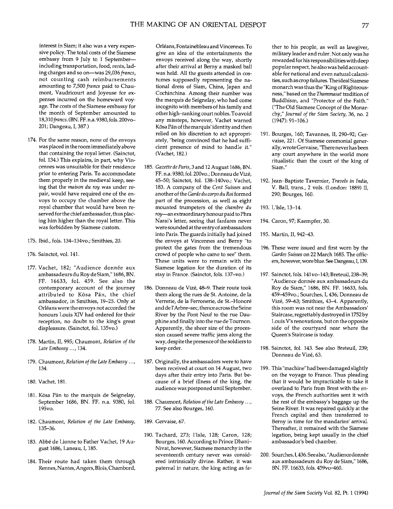interest in Siam; it also was a very expensive policy. The total costs of the Siamese embassy from 9 July to 1 Septemberincluding transportation, food, rents, lading charges and so on-was 29,036 *francs,*  not counting cash reimbursements amounting to 7,500 *francs* paid to Chaumont, Vaudricourt and Joyeuse for expenses incurred on the homeward voyage. The costs of the Siamese embassy for the month of September amounted to *18,310francs.* (BN. FF. n.a. 9380,fols. 200vo-201; Dangeau, I, 387.)

- 174. For the same reason, none of the envoys was placed in the room immediately above that containing the royal letter. (Sainctot, fol. 134.) This explains, in part, why Vincennes was unsuitable for their residence prior to entering Paris. To accommodate them properly in the medieval keep, seeing that the *maison du roy* was under repair, would have required one of the envoys to occupy the chamber above the royal chamber that would have been reserved for the chief ambassador, thus placing him higher than the royal letter. This was forbidden by Siamese custom.
- 175. Ibid., fols. 134-134vo.; Smithies, 20.
- 176. Sainctot, vol. 141.
- 177. Vachet, 182; "Audience donnée aux ambassadeursduRoydeSiam," 1686, BN. FF. 16633, fol. 459. See also the contemporary account of the journey attributed to Kosa Pan, the chief ambassador, in Smithies, 19-25. Only at Orléans were the envoys not accorded the honours Louis XIV had ordered for their reception, no doubt to the king's great displeasure. (Sainctot, fol. 135vo.)
- 178. Martin, II, 995; Chaumont, *Relation of the*  Late Embassy ..., 134.
- 179. Chaumont, *Relation of the Late Embassy ... ,*  134.
- 180. Vachet, 181.
- 181. Kōsa Pān to the marquis de Seignelay, September 1686, BN. FF. n.a. 9380, fol. 195vo.
- 182. Chaumont, *Relation of the Late Embassy,*  135-36.
- 183. Abbé de Lionne to Father Vachet, 19 August 1686, Laneau, I, 185.
- 184. Their route had taken them through Rennes, Nantes, Angers, Blois, Chambord,

Orleans, Fontainebleau and Vincennes. To give an idea of the entertainments the envoys received along the way, shortly after their arrival at Berny a masked ball was held. All the guests attended in costumes supposedly representing the national dress of Siam, China, Japan and Cochinchina. Among their number was the marquis de Seignelay, who had come incognito with members of his family and other high-ranking court nobles. To avoid any missteps, however, Vachet warned Kōsa Pān of the marquis' identity and then relied on his discretion to act appropriately, "being convinced that he had sufficient presence of mind to handle it." (Vachet, 182.)

- 185. *Gazette de Paris,* 3 and 12 August 1686, BN. FF. n.a. 9380, fol. 200vo.; Donneau de Vize, 45-50; Sainctot, fol. 138-140vo.; Vachet, 183. A company of the *Cent Suisses* and another of the *Garde du corps du Roi* formed part of the procession, as well as eight mounted trumpeters of the *chambre du roy-an* extraordinary honour paid to Phra Narai's letter, seeing that fanfares never were sounded at the entry of ambassadors into Paris. The guards initially had joined the envoys at Vincennes and Berny "to protect the gates from the tremendous crowd of people who came to see" them. These units were to remain with the Siamese legation for the duration of its stay in France. (Sainctot, fols. 137-vo.)
- 186. Donneau de Vize, 48-9. Their route took them along the rues de St. Antoine, de Ia Verrerie, de Ia Ferronerie, de St.-Honore and de l'Arbre-sec, thence across the Seine River by the Pont Neuf to the rue Dauphine and finally into the rue de Tournon. Apparently, the sheer size of the procession caused severe traffic jams along the way, despite the presence of the soldiers to keep order.
- 187. Originally, the ambassadors were to have been received at court on 14 August, two days after their entry into Paris. But because of a brief illness of the king, the audience was postponed until September.
- 188. Chaumont, *Relation of the Late Embassy ... ,*  77. See also Bourges, 160.
- 189. Gervaise, 67.
- 190. Tachard, 273; l'Isle, 128; Caron, 128; Bourges, 160. According to Prince Dhani-Nivat, however, Siamese monarchy in the seventeenth century never was considered intrinsically divine. Rather, it was paternal in nature, the king acting as fa-

ther to his people, as well as lawgiver, military leader and ruler. Not only was he rewarded for his responsibilities with deep popular respect, he also was held accountable for national and even natural calamities, such as crop failures. The ideal Siamese monarch was thus the "King of Righteousness," based on the *Thammasat* tradition of Buddhism, and "Protector of the Faith." ("The Old Siamese Concept of the Monarchy," *Journal of the Siam Society,* 36, no. 2 (1947): 91-106.)

- 191. Bourges, 160; Tavannes, II, 290-92; Gervaise, 221. Of Siamese ceremonial generally, wrote Gervaise, "There never has been any court anywhere in the world more ritualistic than the court of the king of Siam."
- 192. Jean-Baptiste Tavernier, *Travels in India,*  V. Ball, trans., 2 vols. (London: 1889) II, 290; Bourges, 160.
- 193. L'Isle, 13-14.
- 194. Caron, 97; Kaempfer, 30.
- 195. Martin, II, 942-43.
- 196. These were issued and first worn by the *Gardes Suisses* on 22 March 1685. The officers, however, wore blue. See Dangeau, I, 139.
- 197. Sainctot, fols. 141 vo-143; Breteuil, 238-39; "Audience donnée aux ambassadeurs du Roy de Siam," 1686, BN. FF. 16633, fols. 459-459vo.; Sourches, I, 436; Donneau de Vize, 59-63; Smithies, 43-4. Apparently, this room was not near the Ambassadors' Staircase, regrettably destroyed in 1752 by Louis V's renovations, but on the opposite side of the courtyard near where the Queen's Staircase is today.
- 198. Sainctot, fol. 143. See also Breteuil, 239; Donneau de Vize, 63.
- 199. This"machine"hadbeendamagedslightly on the voyage to France. Thus pleading that it would be impracticable to take it overland to Paris from Brest with the envoys, the French authorities sent it with the rest of the embassy's baggage up the Seine River. It was repaired quickly at the French capital and then transferred to Berny in time for the mandarins' arrival. Thereafter, it remained with the Siamese legation, being kept usually in the chief ambassador's bed chamber.
- 200. Sourches, I, 436. See also, "Audience donnée aux ambassadeurs du Roy de Siam," 1686, BN. FF. 16633, fols. 459vo-460.